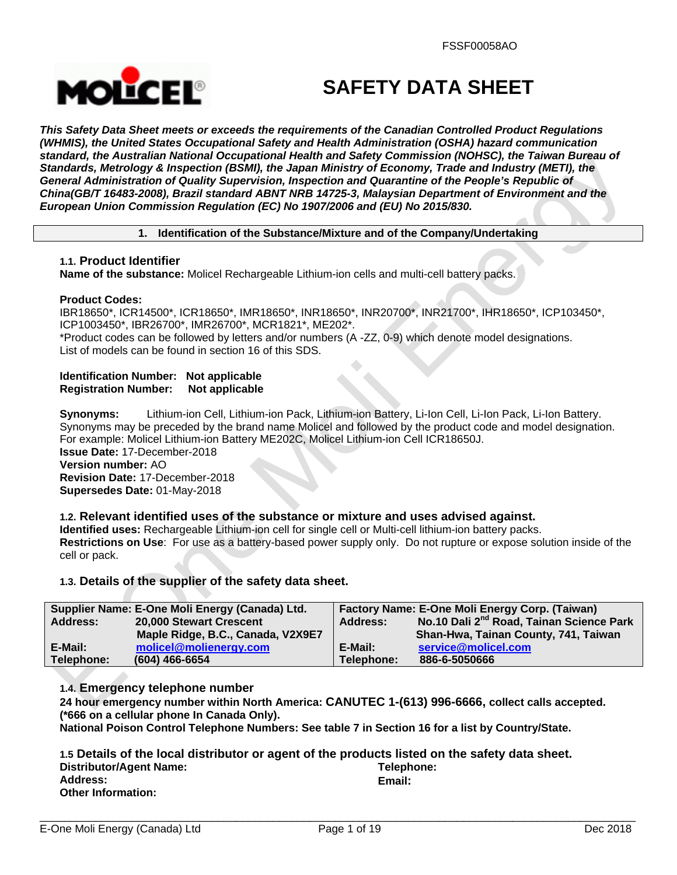

# **SAFETY DATA SHEET**

*This Safety Data Sheet meets or exceeds the requirements of the Canadian Controlled Product Regulations (WHMIS), the United States Occupational Safety and Health Administration (OSHA) hazard communication standard, the Australian National Occupational Health and Safety Commission (NOHSC), the Taiwan Bureau of Standards, Metrology & Inspection (BSMI), the Japan Ministry of Economy, Trade and Industry (METI), the General Administration of Quality Supervision, Inspection and Quarantine of the People's Republic of China(GB/T 16483-2008), Brazil standard ABNT NRB 14725-3, Malaysian Department of Environment and the European Union Commission Regulation (EC) No 1907/2006 and (EU) No 2015/830.* 

# **1. Identification of the Substance/Mixture and of the Company/Undertaking**

# **1.1. Product Identifier**

**Name of the substance:** Molicel Rechargeable Lithium-ion cells and multi-cell battery packs.

# **Product Codes:**

IBR18650\*, ICR14500\*, ICR18650\*, IMR18650\*, INR18650\*, INR20700\*, INR21700\*, IHR18650\*, ICP103450\*, ICP1003450\*, IBR26700\*, IMR26700\*, MCR1821\*, ME202\*.

\*Product codes can be followed by letters and/or numbers (A -ZZ, 0-9) which denote model designations. List of models can be found in section 16 of this SDS.

# **Identification Number: Not applicable Registration Number: Not applicable**

**Synonyms:** Lithium-ion Cell, Lithium-ion Pack, Lithium-ion Battery, Li-Ion Cell, Li-Ion Pack, Li-Ion Battery. Synonyms may be preceded by the brand name Molicel and followed by the product code and model designation. For example: Molicel Lithium-ion Battery ME202C, Molicel Lithium-ion Cell ICR18650J. **Issue Date:** 17-December-2018

**Version number:** AO **Revision Date:** 17-December-2018 **Supersedes Date:** 01-May-2018

# **1.2. Relevant identified uses of the substance or mixture and uses advised against.**

**Identified uses:** Rechargeable Lithium-ion cell for single cell or Multi-cell lithium-ion battery packs. **Restrictions on Use**: For use as a battery-based power supply only. Do not rupture or expose solution inside of the cell or pack.

# **1.3. Details of the supplier of the safety data sheet.**

| Supplier Name: E-One Moli Energy (Canada) Ltd. |                                   | Factory Name: E-One Moli Energy Corp. (Taiwan) |                                                      |  |
|------------------------------------------------|-----------------------------------|------------------------------------------------|------------------------------------------------------|--|
| Address:                                       | 20,000 Stewart Crescent           | Address:                                       | No.10 Dali 2 <sup>nd</sup> Road, Tainan Science Park |  |
|                                                | Maple Ridge, B.C., Canada, V2X9E7 |                                                | Shan-Hwa, Tainan County, 741, Taiwan                 |  |
| E-Mail:                                        | molicel@molienergy.com            | E-Mail:                                        | service@molicel.com                                  |  |
| Telephone:                                     | $(604)$ 466-6654                  | Telephone:                                     | 886-6-5050666                                        |  |

# **1.4. Emergency telephone number**

**24 hour emergency number within North America: CANUTEC 1-(613) 996-6666, collect calls accepted. (\*666 on a cellular phone In Canada Only).** 

**National Poison Control Telephone Numbers: See table 7 in Section 16 for a list by Country/State.** 

|                           | 1.5 Details of the local distributor or agent of the products listed on the safety data sheet. |
|---------------------------|------------------------------------------------------------------------------------------------|
| Distributor/Agent Name:   | Telephone:                                                                                     |
| <b>Address:</b>           | Email:                                                                                         |
| <b>Other Information:</b> |                                                                                                |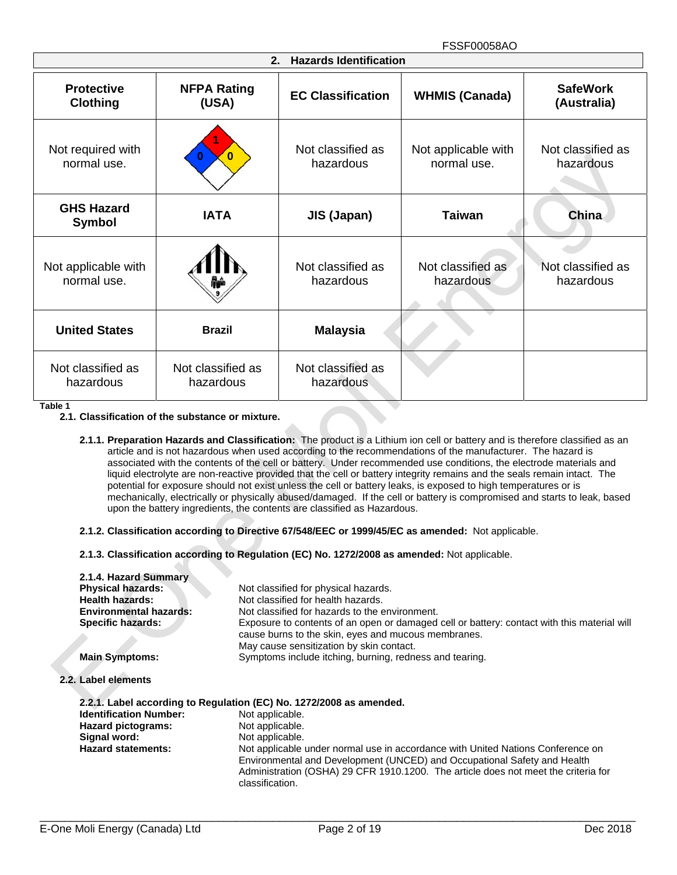| <b>Hazards Identification</b><br>2.  |                                |                                |                                    |                                |  |
|--------------------------------------|--------------------------------|--------------------------------|------------------------------------|--------------------------------|--|
| <b>Protective</b><br><b>Clothing</b> | <b>NFPA Rating</b><br>(USA)    | <b>EC Classification</b>       | <b>WHMIS (Canada)</b>              | <b>SafeWork</b><br>(Australia) |  |
| Not required with<br>normal use.     | $\bf{0}$                       | Not classified as<br>hazardous | Not applicable with<br>normal use. | Not classified as<br>hazardous |  |
| <b>GHS Hazard</b><br><b>Symbol</b>   | <b>IATA</b>                    | <b>JIS (Japan)</b>             | <b>Taiwan</b>                      | China                          |  |
| Not applicable with<br>normal use.   |                                | Not classified as<br>hazardous | Not classified as<br>hazardous     | Not classified as<br>hazardous |  |
| <b>United States</b>                 | <b>Brazil</b>                  | <b>Malaysia</b>                |                                    |                                |  |
| Not classified as<br>hazardous       | Not classified as<br>hazardous | Not classified as<br>hazardous |                                    |                                |  |

**Table 1**

- **2.1.2. Classification according to Directive 67/548/EEC or 1999/45/EC as amended:** Not applicable.
- **2.1.3. Classification according to Regulation (EC) No. 1272/2008 as amended:** Not applicable.

| 2.1.4. Hazard Summary         |                                                                                                                                                                                                                                                                      |
|-------------------------------|----------------------------------------------------------------------------------------------------------------------------------------------------------------------------------------------------------------------------------------------------------------------|
| <b>Physical hazards:</b>      | Not classified for physical hazards.                                                                                                                                                                                                                                 |
| <b>Health hazards:</b>        | Not classified for health hazards.                                                                                                                                                                                                                                   |
| <b>Environmental hazards:</b> | Not classified for hazards to the environment.                                                                                                                                                                                                                       |
| Specific hazards:             | Exposure to contents of an open or damaged cell or battery: contact with this material will<br>cause burns to the skin, eyes and mucous membranes.<br>May cause sensitization by skin contact.                                                                       |
| <b>Main Symptoms:</b>         | Symptoms include itching, burning, redness and tearing.                                                                                                                                                                                                              |
| 2.2. Label elements           |                                                                                                                                                                                                                                                                      |
|                               | 2.2.1. Label according to Regulation (EC) No. 1272/2008 as amended.                                                                                                                                                                                                  |
| <b>Identification Number:</b> | Not applicable.                                                                                                                                                                                                                                                      |
| Hazard pictograms:            | Not applicable.                                                                                                                                                                                                                                                      |
| Signal word:                  | Not applicable.                                                                                                                                                                                                                                                      |
| <b>Hazard statements:</b>     | Not applicable under normal use in accordance with United Nations Conference on<br>Environmental and Development (UNCED) and Occupational Safety and Health<br>Administration (OSHA) 29 CFR 1910.1200. The article does not meet the criteria for<br>classification. |

**<sup>2.1.</sup> Classification of the substance or mixture.** 

**<sup>2.1.1.</sup> Preparation Hazards and Classification:** The product is a Lithium ion cell or battery and is therefore classified as an article and is not hazardous when used according to the recommendations of the manufacturer. The hazard is associated with the contents of the cell or battery. Under recommended use conditions, the electrode materials and liquid electrolyte are non-reactive provided that the cell or battery integrity remains and the seals remain intact. The potential for exposure should not exist unless the cell or battery leaks, is exposed to high temperatures or is mechanically, electrically or physically abused/damaged. If the cell or battery is compromised and starts to leak, based upon the battery ingredients, the contents are classified as Hazardous.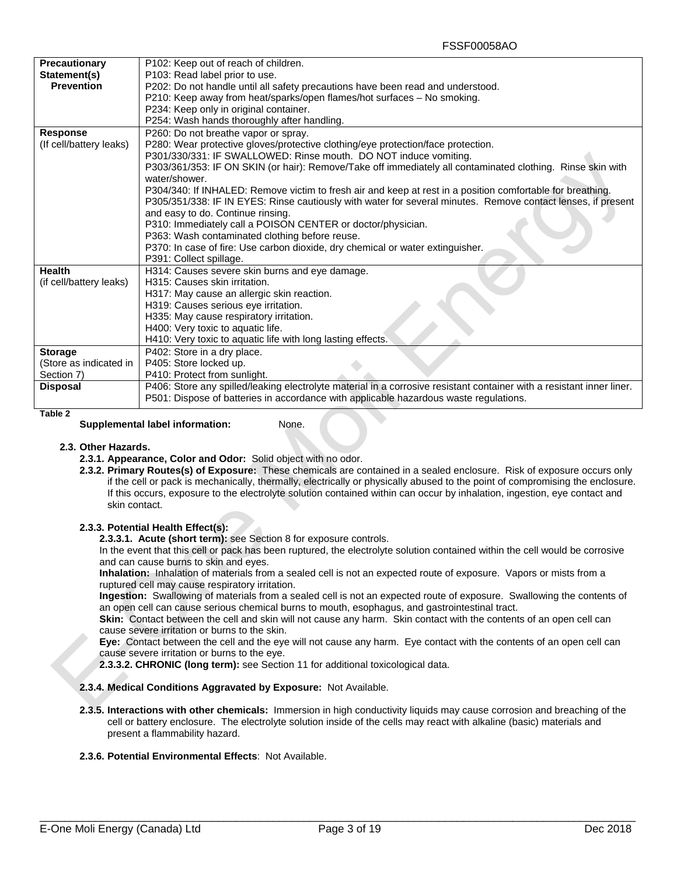| <b>Precautionary</b>    | P102: Keep out of reach of children.                                                                                  |  |  |
|-------------------------|-----------------------------------------------------------------------------------------------------------------------|--|--|
| Statement(s)            | P103: Read label prior to use.                                                                                        |  |  |
| <b>Prevention</b>       | P202: Do not handle until all safety precautions have been read and understood.                                       |  |  |
|                         | P210: Keep away from heat/sparks/open flames/hot surfaces - No smoking.                                               |  |  |
|                         | P234: Keep only in original container.                                                                                |  |  |
|                         | P254: Wash hands thoroughly after handling.                                                                           |  |  |
| <b>Response</b>         | P260: Do not breathe vapor or spray.                                                                                  |  |  |
| (If cell/battery leaks) | P280: Wear protective gloves/protective clothing/eye protection/face protection.                                      |  |  |
|                         | P301/330/331: IF SWALLOWED: Rinse mouth. DO NOT induce vomiting.                                                      |  |  |
|                         | P303/361/353: IF ON SKIN (or hair): Remove/Take off immediately all contaminated clothing. Rinse skin with            |  |  |
|                         | water/shower.                                                                                                         |  |  |
|                         | P304/340: If INHALED: Remove victim to fresh air and keep at rest in a position comfortable for breathing.            |  |  |
|                         | P305/351/338: IF IN EYES: Rinse cautiously with water for several minutes. Remove contact lenses, if present          |  |  |
|                         | and easy to do. Continue rinsing.                                                                                     |  |  |
|                         | P310: Immediately call a POISON CENTER or doctor/physician.                                                           |  |  |
|                         | P363: Wash contaminated clothing before reuse.                                                                        |  |  |
|                         | P370: In case of fire: Use carbon dioxide, dry chemical or water extinguisher.                                        |  |  |
|                         | P391: Collect spillage.                                                                                               |  |  |
| <b>Health</b>           | H314: Causes severe skin burns and eye damage.                                                                        |  |  |
| (if cell/battery leaks) | H315: Causes skin irritation.                                                                                         |  |  |
|                         | H317: May cause an allergic skin reaction.                                                                            |  |  |
|                         | H319: Causes serious eye irritation.                                                                                  |  |  |
|                         | H335: May cause respiratory irritation.                                                                               |  |  |
|                         | H400: Very toxic to aquatic life.                                                                                     |  |  |
|                         | H410: Very toxic to aquatic life with long lasting effects.                                                           |  |  |
| <b>Storage</b>          | P402: Store in a dry place.                                                                                           |  |  |
| (Store as indicated in  | P405: Store locked up.                                                                                                |  |  |
| Section 7)              | P410: Protect from sunlight.                                                                                          |  |  |
| <b>Disposal</b>         | P406: Store any spilled/leaking electrolyte material in a corrosive resistant container with a resistant inner liner. |  |  |
|                         | P501: Dispose of batteries in accordance with applicable hazardous waste regulations.                                 |  |  |
|                         |                                                                                                                       |  |  |

**Table 2**

### **Supplemental label information:** None.

#### **2.3. Other Hazards.**

- **2.3.1. Appearance, Color and Odor:** Solid object with no odor.
- **2.3.2. Primary Routes(s) of Exposure:** These chemicals are contained in a sealed enclosure. Risk of exposure occurs only if the cell or pack is mechanically, thermally, electrically or physically abused to the point of compromising the enclosure. If this occurs, exposure to the electrolyte solution contained within can occur by inhalation, ingestion, eye contact and skin contact.

#### **2.3.3. Potential Health Effect(s):**

**2.3.3.1. Acute (short term):** see Section 8 for exposure controls.

In the event that this cell or pack has been ruptured, the electrolyte solution contained within the cell would be corrosive and can cause burns to skin and eyes.

**Inhalation:** Inhalation of materials from a sealed cell is not an expected route of exposure. Vapors or mists from a ruptured cell may cause respiratory irritation.

**Ingestion:** Swallowing of materials from a sealed cell is not an expected route of exposure. Swallowing the contents of an open cell can cause serious chemical burns to mouth, esophagus, and gastrointestinal tract.

**Skin:** Contact between the cell and skin will not cause any harm. Skin contact with the contents of an open cell can cause severe irritation or burns to the skin.

**Eye:** Contact between the cell and the eye will not cause any harm. Eye contact with the contents of an open cell can cause severe irritation or burns to the eye.

**2.3.3.2. CHRONIC (long term):** see Section 11 for additional toxicological data.

#### **2.3.4. Medical Conditions Aggravated by Exposure:** Not Available.

**2.3.5. Interactions with other chemicals:** Immersion in high conductivity liquids may cause corrosion and breaching of the cell or battery enclosure. The electrolyte solution inside of the cells may react with alkaline (basic) materials and present a flammability hazard.

#### **2.3.6. Potential Environmental Effects**: Not Available.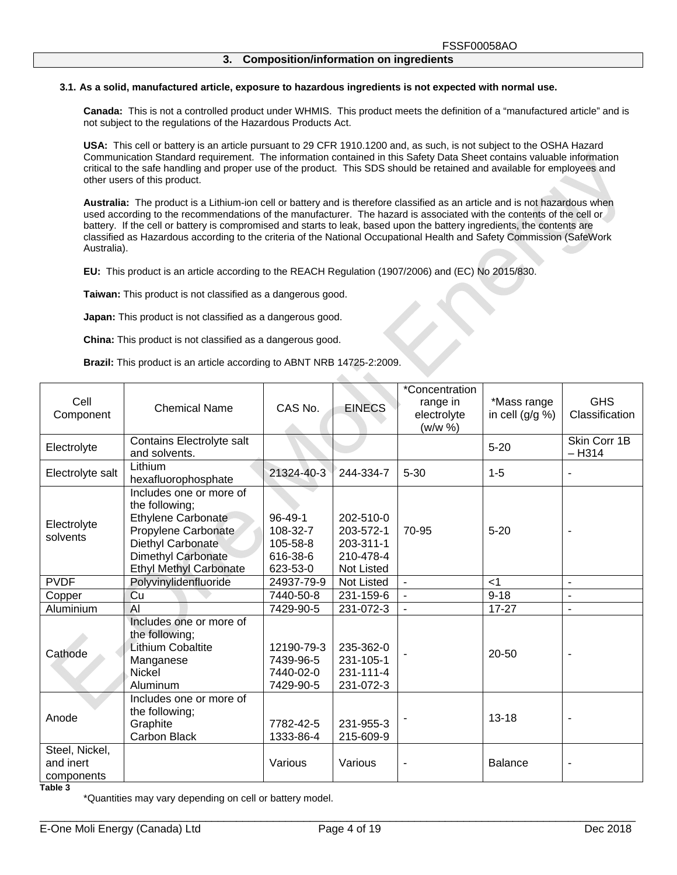#### **3.1. As a solid, manufactured article, exposure to hazardous ingredients is not expected with normal use.**

**Canada:** This is not a controlled product under WHMIS. This product meets the definition of a "manufactured article" and is not subject to the regulations of the Hazardous Products Act.

**USA:** This cell or battery is an article pursuant to 29 CFR 1910.1200 and, as such, is not subject to the OSHA Hazard Communication Standard requirement. The information contained in this Safety Data Sheet contains valuable information critical to the safe handling and proper use of the product. This SDS should be retained and available for employees and other users of this product.

**Australia:** The product is a Lithium-ion cell or battery and is therefore classified as an article and is not hazardous when used according to the recommendations of the manufacturer. The hazard is associated with the contents of the cell or battery. If the cell or battery is compromised and starts to leak, based upon the battery ingredients, the contents are classified as Hazardous according to the criteria of the National Occupational Health and Safety Commission (SafeWork Australia).

Ab.

**EU:** This product is an article according to the REACH Regulation (1907/2006) and (EC) No 2015/830.

**Taiwan:** This product is not classified as a dangerous good.

**Japan:** This product is not classified as a dangerous good.

**China:** This product is not classified as a dangerous good.

**Brazil:** This product is an article according to ABNT NRB 14725-2:2009.

| Cell<br>Component                         | <b>Chemical Name</b>                                                                                                                                                             | CAS No.                                           | <b>EINECS</b>                                                         | *Concentration<br>range in<br>electrolyte<br>(w/w %) | *Mass range<br>in cell $(g/g \%)$ | <b>GHS</b><br>Classification |
|-------------------------------------------|----------------------------------------------------------------------------------------------------------------------------------------------------------------------------------|---------------------------------------------------|-----------------------------------------------------------------------|------------------------------------------------------|-----------------------------------|------------------------------|
| Electrolyte                               | Contains Electrolyte salt<br>and solvents.                                                                                                                                       |                                                   |                                                                       |                                                      | $5 - 20$                          | Skin Corr 1B<br>$-H314$      |
| Electrolyte salt                          | Lithium<br>hexafluorophosphate                                                                                                                                                   | 21324-40-3                                        | 244-334-7                                                             | $5 - 30$                                             | $1 - 5$                           | $\overline{a}$               |
| Electrolyte<br>solvents                   | Includes one or more of<br>the following;<br><b>Ethylene Carbonate</b><br>Propylene Carbonate<br>Diethyl Carbonate<br><b>Dimethyl Carbonate</b><br><b>Ethyl Methyl Carbonate</b> |                                                   | 202-510-0<br>203-572-1<br>203-311-1<br>210-478-4<br><b>Not Listed</b> | 70-95                                                | $5 - 20$                          |                              |
| <b>PVDF</b>                               | Polyvinylidenfluoride                                                                                                                                                            | 24937-79-9                                        | Not Listed                                                            | $\blacksquare$                                       | $<$ 1                             | $\blacksquare$               |
| Copper                                    | Cu                                                                                                                                                                               | 7440-50-8                                         | 231-159-6                                                             | $\blacksquare$                                       | $9 - 18$                          |                              |
| Aluminium                                 | $\mathsf{Al}$                                                                                                                                                                    | 7429-90-5                                         | 231-072-3                                                             | $\blacksquare$                                       | $17 - 27$                         | $\overline{\phantom{a}}$     |
| Cathode                                   | Includes one or more of<br>the following;<br><b>Lithium Cobaltite</b><br>Manganese<br><b>Nickel</b><br>Aluminum                                                                  | 12190-79-3<br>7439-96-5<br>7440-02-0<br>7429-90-5 | 235-362-0<br>231-105-1<br>231-111-4<br>231-072-3                      |                                                      | $20 - 50$                         |                              |
| Anode                                     | Includes one or more of<br>the following;<br>Graphite<br>Carbon Black                                                                                                            | 7782-42-5<br>1333-86-4                            | 231-955-3<br>215-609-9                                                |                                                      | $13 - 18$                         |                              |
| Steel, Nickel,<br>and inert<br>components |                                                                                                                                                                                  | Various                                           | Various                                                               |                                                      | <b>Balance</b>                    |                              |

**Table 3** 

\*Quantities may vary depending on cell or battery model.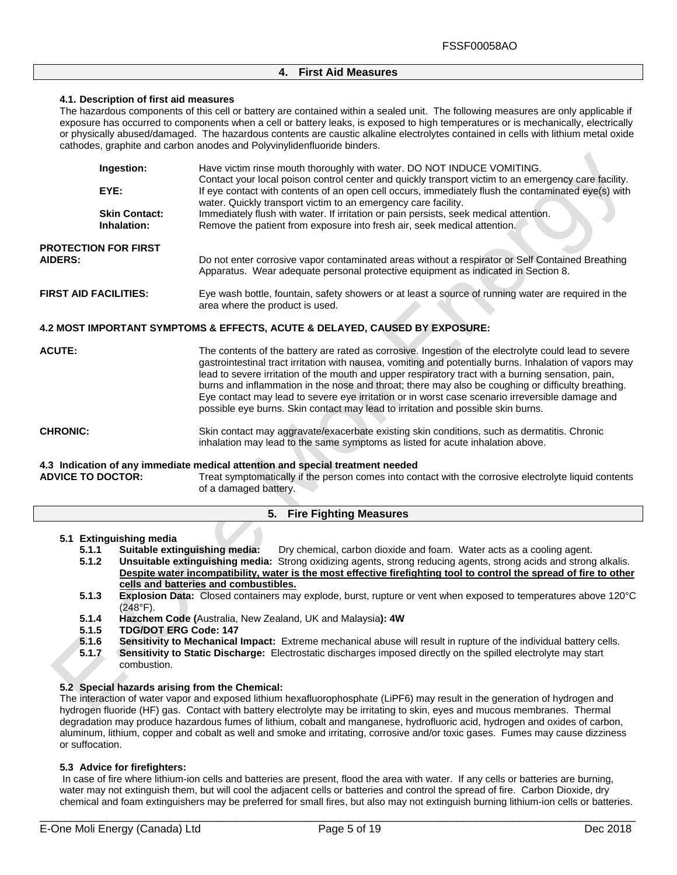# **4. First Aid Measures**

#### **4.1. Description of first aid measures**

The hazardous components of this cell or battery are contained within a sealed unit. The following measures are only applicable if exposure has occurred to components when a cell or battery leaks, is exposed to high temperatures or is mechanically, electrically or physically abused/damaged. The hazardous contents are caustic alkaline electrolytes contained in cells with lithium metal oxide cathodes, graphite and carbon anodes and Polyvinylidenfluoride binders.

|                              | Ingestion:                          | Have victim rinse mouth thoroughly with water. DO NOT INDUCE VOMITING.<br>Contact your local poison control center and quickly transport victim to an emergency care facility.        |
|------------------------------|-------------------------------------|---------------------------------------------------------------------------------------------------------------------------------------------------------------------------------------|
|                              | EYE:                                | If eye contact with contents of an open cell occurs, immediately flush the contaminated eye(s) with<br>water. Quickly transport victim to an emergency care facility.                 |
|                              | <b>Skin Contact:</b><br>Inhalation: | Immediately flush with water. If irritation or pain persists, seek medical attention.<br>Remove the patient from exposure into fresh air, seek medical attention.                     |
| <b>AIDERS:</b>               | <b>PROTECTION FOR FIRST</b>         | Do not enter corrosive vapor contaminated areas without a respirator or Self Contained Breathing<br>Apparatus. Wear adequate personal protective equipment as indicated in Section 8. |
| <b>FIRST AID FACILITIES:</b> |                                     | Eye wash bottle, fountain, safety showers or at least a source of running water are required in the<br>area where the product is used.                                                |
|                              |                                     | 4.2 MOST IMPORTANT SYMPTOMS & EFFECTS, ACUTE & DELAYED, CAUSED BY EXPOSURE:                                                                                                           |

| <b>ACUTE:</b>   | The contents of the battery are rated as corrosive. Ingestion of the electrolyte could lead to severe<br>gastrointestinal tract irritation with nausea, vomiting and potentially burns. Inhalation of vapors may<br>lead to severe irritation of the mouth and upper respiratory tract with a burning sensation, pain,<br>burns and inflammation in the nose and throat; there may also be coughing or difficulty breathing.<br>Eye contact may lead to severe eye irritation or in worst case scenario irreversible damage and<br>possible eye burns. Skin contact may lead to irritation and possible skin burns. |
|-----------------|---------------------------------------------------------------------------------------------------------------------------------------------------------------------------------------------------------------------------------------------------------------------------------------------------------------------------------------------------------------------------------------------------------------------------------------------------------------------------------------------------------------------------------------------------------------------------------------------------------------------|
| <b>CHRONIC:</b> | Skin contact may aggravate/exacerbate existing skin conditions, such as dermatitis. Chronic<br>inhalation may lead to the same symptoms as listed for acute inhalation above.                                                                                                                                                                                                                                                                                                                                                                                                                                       |

**4.3 Indication of any immediate medical attention and special treatment needed** 

Treat symptomatically if the person comes into contact with the corrosive electrolyte liquid contents of a damaged battery.

# **5. Fire Fighting Measures**

#### **5.1 Extinguishing media**

- **5.1.1 Suitable extinguishing media:** Dry chemical, carbon dioxide and foam. Water acts as a cooling agent.<br>**5.1.2 Unsuitable extinguishing media:** Strong oxidizing agents, strong reducing agents, strong acids and strong
- **5.1.2 Unsuitable extinguishing media:** Strong oxidizing agents, strong reducing agents, strong acids and strong alkalis. **Despite water incompatibility, water is the most effective firefighting tool to control the spread of fire to other cells and batteries and combustibles.**
- **5.1.3 Explosion Data:** Closed containers may explode, burst, rupture or vent when exposed to temperatures above 120°C (248°F).
- **5.1.4 Hazchem Code (**Australia, New Zealand, UK and Malaysia**): 4W**
- **5.1.5 TDG/DOT ERG Code: 147**
- **5.1.6 Sensitivity to Mechanical Impact:** Extreme mechanical abuse will result in rupture of the individual battery cells.
- **5.1.7 Sensitivity to Static Discharge:** Electrostatic discharges imposed directly on the spilled electrolyte may start combustion.

# **5.2 Special hazards arising from the Chemical:**

The interaction of water vapor and exposed lithium hexafluorophosphate (LiPF6) may result in the generation of hydrogen and hydrogen fluoride (HF) gas. Contact with battery electrolyte may be irritating to skin, eyes and mucous membranes. Thermal degradation may produce hazardous fumes of lithium, cobalt and manganese, hydrofluoric acid, hydrogen and oxides of carbon, aluminum, lithium, copper and cobalt as well and smoke and irritating, corrosive and/or toxic gases. Fumes may cause dizziness or suffocation.

## **5.3 Advice for firefighters:**

In case of fire where lithium-ion cells and batteries are present, flood the area with water. If any cells or batteries are burning, water may not extinguish them, but will cool the adjacent cells or batteries and control the spread of fire. Carbon Dioxide, dry chemical and foam extinguishers may be preferred for small fires, but also may not extinguish burning lithium-ion cells or batteries.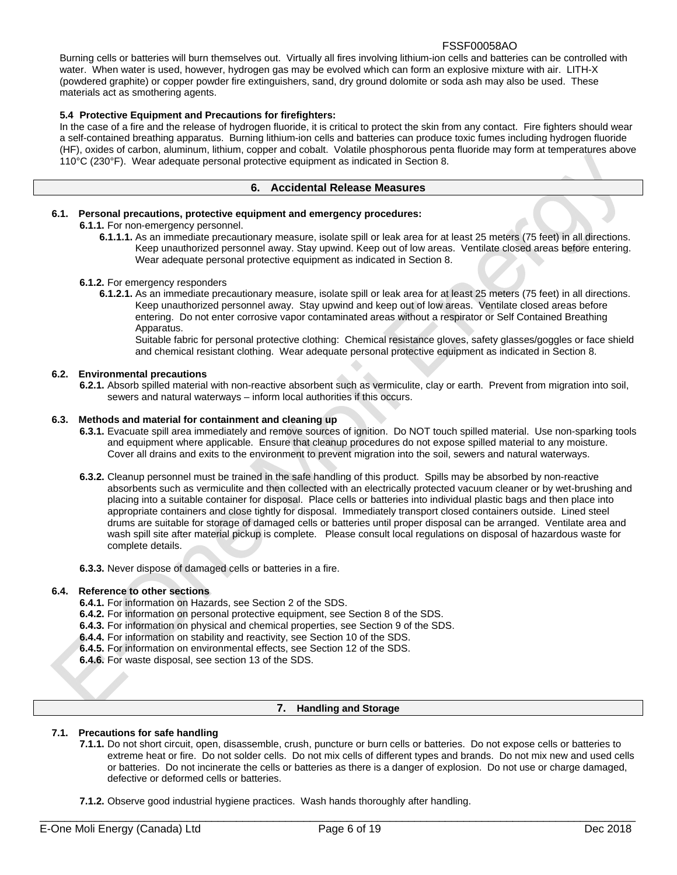Burning cells or batteries will burn themselves out. Virtually all fires involving lithium-ion cells and batteries can be controlled with water. When water is used, however, hydrogen gas may be evolved which can form an explosive mixture with air. LITH-X (powdered graphite) or copper powder fire extinguishers, sand, dry ground dolomite or soda ash may also be used. These materials act as smothering agents.

# **5.4 Protective Equipment and Precautions for firefighters:**

In the case of a fire and the release of hydrogen fluoride, it is critical to protect the skin from any contact. Fire fighters should wear a self-contained breathing apparatus. Burning lithium-ion cells and batteries can produce toxic fumes including hydrogen fluoride (HF), oxides of carbon, aluminum, lithium, copper and cobalt. Volatile phosphorous penta fluoride may form at temperatures above 110°C (230°F). Wear adequate personal protective equipment as indicated in Section 8.

## **6. Accidental Release Measures**

# **6.1. Personal precautions, protective equipment and emergency procedures:**

#### **6.1.1.** For non-emergency personnel.

**6.1.1.1.** As an immediate precautionary measure, isolate spill or leak area for at least 25 meters (75 feet) in all directions. Keep unauthorized personnel away. Stay upwind. Keep out of low areas. Ventilate closed areas before entering. Wear adequate personal protective equipment as indicated in Section 8.

# **6.1.2.** For emergency responders

**6.1.2.1.** As an immediate precautionary measure, isolate spill or leak area for at least 25 meters (75 feet) in all directions. Keep unauthorized personnel away. Stay upwind and keep out of low areas. Ventilate closed areas before entering. Do not enter corrosive vapor contaminated areas without a respirator or Self Contained Breathing Apparatus.

Suitable fabric for personal protective clothing: Chemical resistance gloves, safety glasses/goggles or face shield and chemical resistant clothing. Wear adequate personal protective equipment as indicated in Section 8.

# **6.2. Environmental precautions**

**6.2.1.** Absorb spilled material with non-reactive absorbent such as vermiculite, clay or earth. Prevent from migration into soil, sewers and natural waterways – inform local authorities if this occurs.

## **6.3. Methods and material for containment and cleaning up**

- **6.3.1.** Evacuate spill area immediately and remove sources of ignition. Do NOT touch spilled material. Use non-sparking tools and equipment where applicable. Ensure that cleanup procedures do not expose spilled material to any moisture. Cover all drains and exits to the environment to prevent migration into the soil, sewers and natural waterways.
- **6.3.2.** Cleanup personnel must be trained in the safe handling of this product. Spills may be absorbed by non-reactive absorbents such as vermiculite and then collected with an electrically protected vacuum cleaner or by wet-brushing and placing into a suitable container for disposal. Place cells or batteries into individual plastic bags and then place into appropriate containers and close tightly for disposal. Immediately transport closed containers outside. Lined steel drums are suitable for storage of damaged cells or batteries until proper disposal can be arranged. Ventilate area and wash spill site after material pickup is complete. Please consult local regulations on disposal of hazardous waste for complete details.
- **6.3.3.** Never dispose of damaged cells or batteries in a fire.

#### **6.4. Reference to other sections**

- **6.4.1.** For information on Hazards, see Section 2 of the SDS.
- **6.4.2.** For information on personal protective equipment, see Section 8 of the SDS.
- **6.4.3.** For information on physical and chemical properties, see Section 9 of the SDS.
- **6.4.4.** For information on stability and reactivity, see Section 10 of the SDS.
- **6.4.5.** For information on environmental effects, see Section 12 of the SDS.
- **6.4.6.** For waste disposal, see section 13 of the SDS.

## **7. Handling and Storage**

# **7.1. Precautions for safe handling**

- **7.1.1.** Do not short circuit, open, disassemble, crush, puncture or burn cells or batteries. Do not expose cells or batteries to extreme heat or fire. Do not solder cells. Do not mix cells of different types and brands. Do not mix new and used cells or batteries. Do not incinerate the cells or batteries as there is a danger of explosion. Do not use or charge damaged, defective or deformed cells or batteries.
- **7.1.2.** Observe good industrial hygiene practices. Wash hands thoroughly after handling.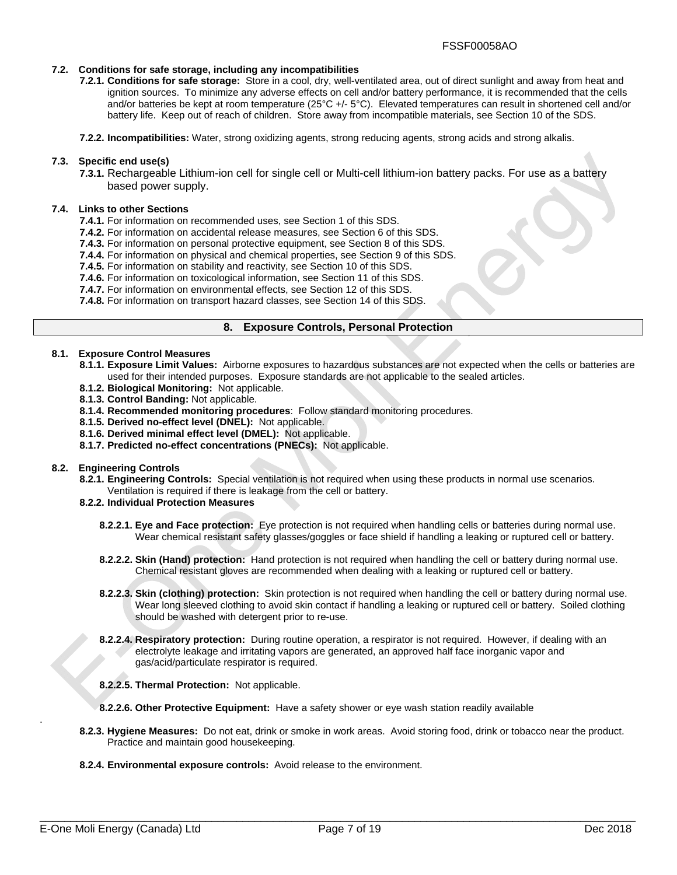## **7.2. Conditions for safe storage, including any incompatibilities**

**7.2.1. Conditions for safe storage:** Store in a cool, dry, well-ventilated area, out of direct sunlight and away from heat and ignition sources. To minimize any adverse effects on cell and/or battery performance, it is recommended that the cells and/or batteries be kept at room temperature (25°C +/- 5°C). Elevated temperatures can result in shortened cell and/or battery life. Keep out of reach of children. Store away from incompatible materials, see Section 10 of the SDS.

**7.2.2. Incompatibilities:** Water, strong oxidizing agents, strong reducing agents, strong acids and strong alkalis.

#### **7.3. Specific end use(s)**

**7.3.1.** Rechargeable Lithium-ion cell for single cell or Multi-cell lithium-ion battery packs. For use as a battery based power supply.

#### **7.4. Links to other Sections**

- **7.4.1.** For information on recommended uses, see Section 1 of this SDS.
- **7.4.2.** For information on accidental release measures, see Section 6 of this SDS.
- **7.4.3.** For information on personal protective equipment, see Section 8 of this SDS.
- **7.4.4.** For information on physical and chemical properties, see Section 9 of this SDS.
- **7.4.5.** For information on stability and reactivity, see Section 10 of this SDS.
- **7.4.6.** For information on toxicological information, see Section 11 of this SDS.
- **7.4.7.** For information on environmental effects, see Section 12 of this SDS.
- **7.4.8.** For information on transport hazard classes, see Section 14 of this SDS.

#### **8. Exposure Controls, Personal Protection**

## **8.1. Exposure Control Measures**

- **8.1.1. Exposure Limit Values:** Airborne exposures to hazardous substances are not expected when the cells or batteries are used for their intended purposes. Exposure standards are not applicable to the sealed articles.
- **8.1.2. Biological Monitoring:** Not applicable.
- **8.1.3. Control Banding:** Not applicable.
- **8.1.4. Recommended monitoring procedures**: Follow standard monitoring procedures.
- **8.1.5. Derived no-effect level (DNEL):** Not applicable.
- **8.1.6. Derived minimal effect level (DMEL):** Not applicable.
- **8.1.7. Predicted no-effect concentrations (PNECs):** Not applicable.

#### **8.2. Engineering Controls**

- **8.2.1. Engineering Controls:** Special ventilation is not required when using these products in normal use scenarios.
- Ventilation is required if there is leakage from the cell or battery.
- **8.2.2. Individual Protection Measures** 
	- **8.2.2.1. Eye and Face protection:** Eye protection is not required when handling cells or batteries during normal use. Wear chemical resistant safety glasses/goggles or face shield if handling a leaking or ruptured cell or battery.
	- **8.2.2.2. Skin (Hand) protection:** Hand protection is not required when handling the cell or battery during normal use. Chemical resistant gloves are recommended when dealing with a leaking or ruptured cell or battery.
	- **8.2.2.3. Skin (clothing) protection:** Skin protection is not required when handling the cell or battery during normal use. Wear long sleeved clothing to avoid skin contact if handling a leaking or ruptured cell or battery. Soiled clothing should be washed with detergent prior to re-use.
	- **8.2.2.4. Respiratory protection:** During routine operation, a respirator is not required. However, if dealing with an electrolyte leakage and irritating vapors are generated, an approved half face inorganic vapor and gas/acid/particulate respirator is required.
	- **8.2.2.5. Thermal Protection:** Not applicable.
	- **8.2.2.6. Other Protective Equipment:** Have a safety shower or eye wash station readily available
- **8.2.3. Hygiene Measures:** Do not eat, drink or smoke in work areas. Avoid storing food, drink or tobacco near the product. Practice and maintain good housekeeping.
- **8.2.4. Environmental exposure controls:** Avoid release to the environment.

.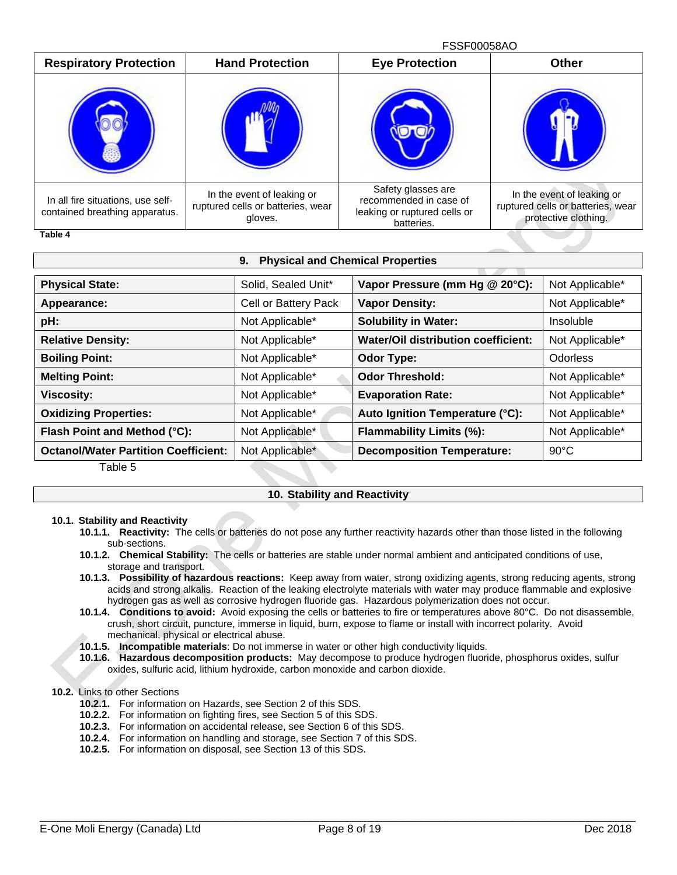FSSF00058AO Respiratory Protection | Hand Protection | Eye Protection | Other In all fire situations, use selfcontained breathing apparatus. In the event of leaking or ruptured cells or batteries, wear gloves. Safety glasses are recommended in case of leaking or ruptured cells or batteries. In the event of leaking or ruptured cells or batteries, wear protective clothing.

**Table 4** 

| <b>Physical and Chemical Properties</b><br>9.                        |                      |                                            |                 |  |
|----------------------------------------------------------------------|----------------------|--------------------------------------------|-----------------|--|
| <b>Physical State:</b>                                               | Solid, Sealed Unit*  | Vapor Pressure (mm Hg @ 20°C):             | Not Applicable* |  |
| Appearance:                                                          | Cell or Battery Pack | <b>Vapor Density:</b>                      | Not Applicable* |  |
| pH:                                                                  | Not Applicable*      | <b>Solubility in Water:</b>                | Insoluble       |  |
| <b>Relative Density:</b>                                             | Not Applicable*      | <b>Water/Oil distribution coefficient:</b> | Not Applicable* |  |
| <b>Boiling Point:</b>                                                | Not Applicable*      | <b>Odor Type:</b>                          | Odorless        |  |
| <b>Melting Point:</b>                                                | Not Applicable*      | <b>Odor Threshold:</b>                     | Not Applicable* |  |
| <b>Viscosity:</b>                                                    | Not Applicable*      | <b>Evaporation Rate:</b>                   | Not Applicable* |  |
| <b>Oxidizing Properties:</b>                                         | Not Applicable*      | Auto Ignition Temperature (°C):            | Not Applicable* |  |
| Flash Point and Method (°C):                                         | Not Applicable*      | Flammability Limits (%):                   | Not Applicable* |  |
| <b>Octanol/Water Partition Coefficient:</b><br>77 - L. L. - <i>P</i> | Not Applicable*      | <b>Decomposition Temperature:</b>          | $90^{\circ}$ C  |  |

#### Table 5

# **10. Stability and Reactivity**

## **10.1. Stability and Reactivity**

- **10.1.1. Reactivity:** The cells or batteries do not pose any further reactivity hazards other than those listed in the following sub-sections.
- **10.1.2. Chemical Stability:** The cells or batteries are stable under normal ambient and anticipated conditions of use, storage and transport.
- **10.1.3. Possibility of hazardous reactions:** Keep away from water, strong oxidizing agents, strong reducing agents, strong acids and strong alkalis. Reaction of the leaking electrolyte materials with water may produce flammable and explosive hydrogen gas as well as corrosive hydrogen fluoride gas. Hazardous polymerization does not occur.
- **10.1.4. Conditions to avoid:** Avoid exposing the cells or batteries to fire or temperatures above 80°C. Do not disassemble, crush, short circuit, puncture, immerse in liquid, burn, expose to flame or install with incorrect polarity. Avoid mechanical, physical or electrical abuse.

**10.1.5. Incompatible materials**: Do not immerse in water or other high conductivity liquids.

**10.1.6. Hazardous decomposition products:** May decompose to produce hydrogen fluoride, phosphorus oxides, sulfur oxides, sulfuric acid, lithium hydroxide, carbon monoxide and carbon dioxide.

# **10.2.** Links to other Sections

- **10.2.1.** For information on Hazards, see Section 2 of this SDS.
- **10.2.2.** For information on fighting fires, see Section 5 of this SDS.
- **10.2.3.** For information on accidental release, see Section 6 of this SDS.
- **10.2.4.** For information on handling and storage, see Section 7 of this SDS.
- **10.2.5.** For information on disposal, see Section 13 of this SDS.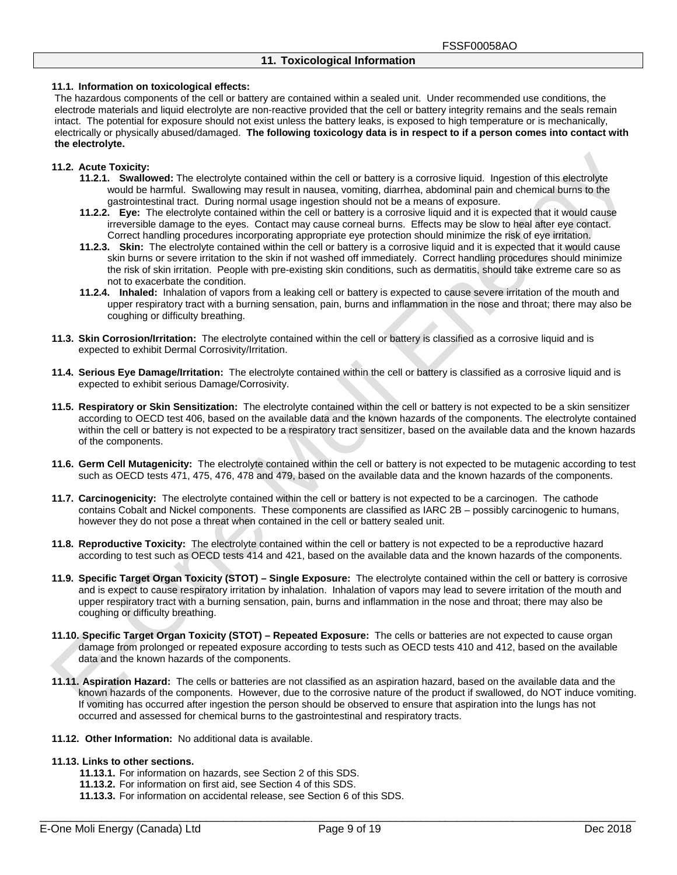#### **11.1. Information on toxicological effects:**

The hazardous components of the cell or battery are contained within a sealed unit. Under recommended use conditions, the electrode materials and liquid electrolyte are non-reactive provided that the cell or battery integrity remains and the seals remain intact. The potential for exposure should not exist unless the battery leaks, is exposed to high temperature or is mechanically, electrically or physically abused/damaged. **The following toxicology data is in respect to if a person comes into contact with the electrolyte.**

#### **11.2. Acute Toxicity:**

- **11.2.1. Swallowed:** The electrolyte contained within the cell or battery is a corrosive liquid. Ingestion of this electrolyte would be harmful. Swallowing may result in nausea, vomiting, diarrhea, abdominal pain and chemical burns to the gastrointestinal tract. During normal usage ingestion should not be a means of exposure.
- **11.2.2. Eye:** The electrolyte contained within the cell or battery is a corrosive liquid and it is expected that it would cause irreversible damage to the eyes. Contact may cause corneal burns. Effects may be slow to heal after eye contact. Correct handling procedures incorporating appropriate eye protection should minimize the risk of eye irritation.
- **11.2.3. Skin:** The electrolyte contained within the cell or battery is a corrosive liquid and it is expected that it would cause skin burns or severe irritation to the skin if not washed off immediately. Correct handling procedures should minimize the risk of skin irritation. People with pre-existing skin conditions, such as dermatitis, should take extreme care so as not to exacerbate the condition.
- **11.2.4. Inhaled:** Inhalation of vapors from a leaking cell or battery is expected to cause severe irritation of the mouth and upper respiratory tract with a burning sensation, pain, burns and inflammation in the nose and throat; there may also be coughing or difficulty breathing.
- **11.3. Skin Corrosion/Irritation:** The electrolyte contained within the cell or battery is classified as a corrosive liquid and is expected to exhibit Dermal Corrosivity/Irritation.
- **11.4. Serious Eye Damage/Irritation:** The electrolyte contained within the cell or battery is classified as a corrosive liquid and is expected to exhibit serious Damage/Corrosivity.
- **11.5. Respiratory or Skin Sensitization:** The electrolyte contained within the cell or battery is not expected to be a skin sensitizer according to OECD test 406, based on the available data and the known hazards of the components. The electrolyte contained within the cell or battery is not expected to be a respiratory tract sensitizer, based on the available data and the known hazards of the components.
- **11.6. Germ Cell Mutagenicity:** The electrolyte contained within the cell or battery is not expected to be mutagenic according to test such as OECD tests 471, 475, 476, 478 and 479, based on the available data and the known hazards of the components.
- **11.7. Carcinogenicity:** The electrolyte contained within the cell or battery is not expected to be a carcinogen. The cathode contains Cobalt and Nickel components. These components are classified as IARC 2B – possibly carcinogenic to humans, however they do not pose a threat when contained in the cell or battery sealed unit.
- **11.8. Reproductive Toxicity:** The electrolyte contained within the cell or battery is not expected to be a reproductive hazard according to test such as OECD tests 414 and 421, based on the available data and the known hazards of the components.
- **11.9. Specific Target Organ Toxicity (STOT) – Single Exposure:** The electrolyte contained within the cell or battery is corrosive and is expect to cause respiratory irritation by inhalation. Inhalation of vapors may lead to severe irritation of the mouth and upper respiratory tract with a burning sensation, pain, burns and inflammation in the nose and throat; there may also be coughing or difficulty breathing.
- **11.10.Specific Target Organ Toxicity (STOT) – Repeated Exposure:** The cells or batteries are not expected to cause organ damage from prolonged or repeated exposure according to tests such as OECD tests 410 and 412, based on the available data and the known hazards of the components.
- **11.11.Aspiration Hazard:** The cells or batteries are not classified as an aspiration hazard, based on the available data and the known hazards of the components. However, due to the corrosive nature of the product if swallowed, do NOT induce vomiting. If vomiting has occurred after ingestion the person should be observed to ensure that aspiration into the lungs has not occurred and assessed for chemical burns to the gastrointestinal and respiratory tracts.
- **11.12. Other Information:** No additional data is available.

#### **11.13.Links to other sections.**

- **11.13.1.** For information on hazards, see Section 2 of this SDS.
- **11.13.2.** For information on first aid, see Section 4 of this SDS.
- **11.13.3.** For information on accidental release, see Section 6 of this SDS.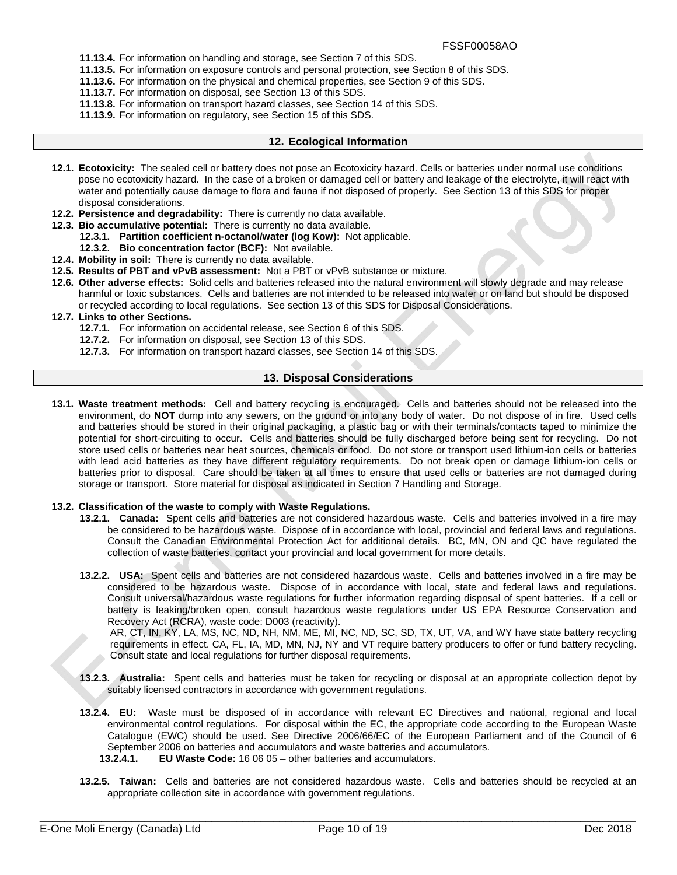- **11.13.4.** For information on handling and storage, see Section 7 of this SDS.
- **11.13.5.** For information on exposure controls and personal protection, see Section 8 of this SDS.
- **11.13.6.** For information on the physical and chemical properties, see Section 9 of this SDS.
	- **11.13.7.** For information on disposal, see Section 13 of this SDS.
- **11.13.8.** For information on transport hazard classes, see Section 14 of this SDS.
- **11.13.9.** For information on regulatory, see Section 15 of this SDS.

# **12. Ecological Information**

- **12.1. Ecotoxicity:** The sealed cell or battery does not pose an Ecotoxicity hazard. Cells or batteries under normal use conditions pose no ecotoxicity hazard. In the case of a broken or damaged cell or battery and leakage of the electrolyte, it will react with water and potentially cause damage to flora and fauna if not disposed of properly. See Section 13 of this SDS for proper disposal considerations.
- **12.2. Persistence and degradability:** There is currently no data available.
- **12.3. Bio accumulative potential:** There is currently no data available.
	- **12.3.1. Partition coefficient n-octanol/water (log Kow):** Not applicable.
	- **12.3.2. Bio concentration factor (BCF):** Not available.
- **12.4. Mobility in soil:** There is currently no data available.
- **12.5. Results of PBT and vPvB assessment:** Not a PBT or vPvB substance or mixture.
- **12.6. Other adverse effects:** Solid cells and batteries released into the natural environment will slowly degrade and may release harmful or toxic substances. Cells and batteries are not intended to be released into water or on land but should be disposed or recycled according to local regulations. See section 13 of this SDS for Disposal Considerations.

# **12.7. Links to other Sections.**

- **12.7.1.** For information on accidental release, see Section 6 of this SDS.
- **12.7.2.** For information on disposal, see Section 13 of this SDS.
- **12.7.3.** For information on transport hazard classes, see Section 14 of this SDS.

# **13. Disposal Considerations**

**13.1. Waste treatment methods:** Cell and battery recycling is encouraged. Cells and batteries should not be released into the environment, do **NOT** dump into any sewers, on the ground or into any body of water. Do not dispose of in fire. Used cells and batteries should be stored in their original packaging, a plastic bag or with their terminals/contacts taped to minimize the potential for short-circuiting to occur. Cells and batteries should be fully discharged before being sent for recycling. Do not store used cells or batteries near heat sources, chemicals or food. Do not store or transport used lithium-ion cells or batteries with lead acid batteries as they have different regulatory requirements. Do not break open or damage lithium-ion cells or batteries prior to disposal. Care should be taken at all times to ensure that used cells or batteries are not damaged during storage or transport. Store material for disposal as indicated in Section 7 Handling and Storage.

#### **13.2. Classification of the waste to comply with Waste Regulations.**

- **13.2.1. Canada:** Spent cells and batteries are not considered hazardous waste. Cells and batteries involved in a fire may be considered to be hazardous waste. Dispose of in accordance with local, provincial and federal laws and regulations. Consult the Canadian Environmental Protection Act for additional details. BC, MN, ON and QC have regulated the collection of waste batteries, contact your provincial and local government for more details.
- **13.2.2. USA:** Spent cells and batteries are not considered hazardous waste. Cells and batteries involved in a fire may be considered to be hazardous waste. Dispose of in accordance with local, state and federal laws and regulations. Consult universal/hazardous waste regulations for further information regarding disposal of spent batteries. If a cell or battery is leaking/broken open, consult hazardous waste regulations under US EPA Resource Conservation and Recovery Act (RCRA), waste code: D003 (reactivity).

AR, CT, IN, KY, LA, MS, NC, ND, NH, NM, ME, MI, NC, ND, SC, SD, TX, UT, VA, and WY have state battery recycling requirements in effect. CA, FL, IA, MD, MN, NJ, NY and VT require battery producers to offer or fund battery recycling. Consult state and local regulations for further disposal requirements.

- **13.2.3. Australia:** Spent cells and batteries must be taken for recycling or disposal at an appropriate collection depot by suitably licensed contractors in accordance with government regulations.
- **13.2.4. EU:** Waste must be disposed of in accordance with relevant EC Directives and national, regional and local environmental control regulations. For disposal within the EC, the appropriate code according to the European Waste Catalogue (EWC) should be used. See Directive 2006/66/EC of the European Parliament and of the Council of 6 September 2006 on batteries and accumulators and waste batteries and accumulators.
	- **13.2.4.1. EU Waste Code:** 16 06 05 other batteries and accumulators.
- **13.2.5. Taiwan:** Cells and batteries are not considered hazardous waste. Cells and batteries should be recycled at an appropriate collection site in accordance with government regulations.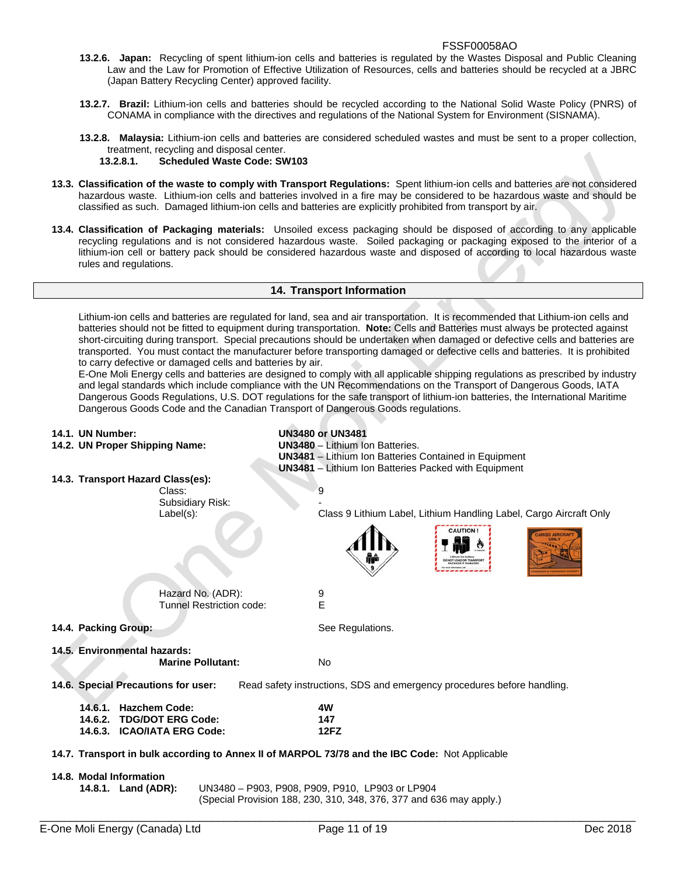- **13.2.6. Japan:** Recycling of spent lithium-ion cells and batteries is regulated by the Wastes Disposal and Public Cleaning Law and the Law for Promotion of Effective Utilization of Resources, cells and batteries should be recycled at a JBRC (Japan Battery Recycling Center) approved facility.
- **13.2.7. Brazil:** Lithium-ion cells and batteries should be recycled according to the National Solid Waste Policy (PNRS) of CONAMA in compliance with the directives and regulations of the National System for Environment (SISNAMA).
- **13.2.8. Malaysia:** Lithium-ion cells and batteries are considered scheduled wastes and must be sent to a proper collection, treatment, recycling and disposal center.

# **13.2.8.1. Scheduled Waste Code: SW103**

- **13.3. Classification of the waste to comply with Transport Regulations:** Spent lithium-ion cells and batteries are not considered hazardous waste. Lithium-ion cells and batteries involved in a fire may be considered to be hazardous waste and should be classified as such. Damaged lithium-ion cells and batteries are explicitly prohibited from transport by air.
- **13.4. Classification of Packaging materials:** Unsoiled excess packaging should be disposed of according to any applicable recycling regulations and is not considered hazardous waste. Soiled packaging or packaging exposed to the interior of a lithium-ion cell or battery pack should be considered hazardous waste and disposed of according to local hazardous waste rules and regulations.

## **14. Transport Information**

Lithium-ion cells and batteries are regulated for land, sea and air transportation. It is recommended that Lithium-ion cells and batteries should not be fitted to equipment during transportation. **Note:** Cells and Batteries must always be protected against short-circuiting during transport. Special precautions should be undertaken when damaged or defective cells and batteries are transported. You must contact the manufacturer before transporting damaged or defective cells and batteries. It is prohibited to carry defective or damaged cells and batteries by air.

E-One Moli Energy cells and batteries are designed to comply with all applicable shipping regulations as prescribed by industry and legal standards which include compliance with the UN Recommendations on the Transport of Dangerous Goods, IATA Dangerous Goods Regulations, U.S. DOT regulations for the safe transport of lithium-ion batteries, the International Maritime Dangerous Goods Code and the Canadian Transport of Dangerous Goods regulations.

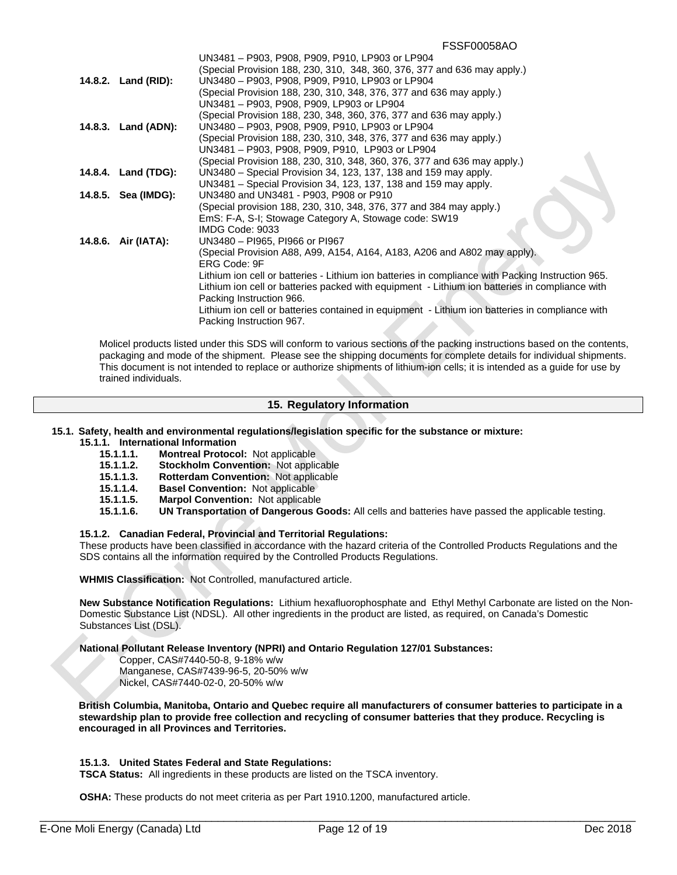|                     | UN3481 - P903, P908, P909, P910, LP903 or LP904                                                   |
|---------------------|---------------------------------------------------------------------------------------------------|
|                     | (Special Provision 188, 230, 310, 348, 360, 376, 377 and 636 may apply.)                          |
| 14.8.2. Land (RID): | UN3480 - P903, P908, P909, P910, LP903 or LP904                                                   |
|                     | (Special Provision 188, 230, 310, 348, 376, 377 and 636 may apply.)                               |
|                     | UN3481 - P903, P908, P909, LP903 or LP904                                                         |
|                     | (Special Provision 188, 230, 348, 360, 376, 377 and 636 may apply.)                               |
| 14.8.3. Land (ADN): | UN3480 - P903, P908, P909, P910, LP903 or LP904                                                   |
|                     | (Special Provision 188, 230, 310, 348, 376, 377 and 636 may apply.)                               |
|                     | UN3481 - P903, P908, P909, P910, LP903 or LP904                                                   |
|                     | (Special Provision 188, 230, 310, 348, 360, 376, 377 and 636 may apply.)                          |
| 14.8.4. Land (TDG): | UN3480 – Special Provision 34, 123, 137, 138 and 159 may apply.                                   |
|                     | UN3481 – Special Provision 34, 123, 137, 138 and 159 may apply.                                   |
| 14.8.5. Sea (IMDG): | UN3480 and UN3481 - P903, P908 or P910                                                            |
|                     | (Special provision 188, 230, 310, 348, 376, 377 and 384 may apply.)                               |
|                     | EmS: F-A, S-I; Stowage Category A, Stowage code: SW19                                             |
|                     | IMDG Code: 9033                                                                                   |
| 14.8.6. Air (IATA): | UN3480 - PI965, PI966 or PI967                                                                    |
|                     |                                                                                                   |
|                     | (Special Provision A88, A99, A154, A164, A183, A206 and A802 may apply).<br>ERG Code: 9F          |
|                     | Lithium ion cell or batteries - Lithium ion batteries in compliance with Packing Instruction 965. |
|                     | Lithium ion cell or batteries packed with equipment - Lithium ion batteries in compliance with    |
|                     | Packing Instruction 966.                                                                          |
|                     | Lithium ion cell or batteries contained in equipment - Lithium ion batteries in compliance with   |
|                     | Packing Instruction 967.                                                                          |
|                     |                                                                                                   |

Molicel products listed under this SDS will conform to various sections of the packing instructions based on the contents, packaging and mode of the shipment. Please see the shipping documents for complete details for individual shipments. This document is not intended to replace or authorize shipments of lithium-ion cells; it is intended as a guide for use by trained individuals.

# **15. Regulatory Information**

# **15.1. Safety, health and environmental regulations/legislation specific for the substance or mixture:**

# **15.1.1. International Information**

- **15.1.1.1. Montreal Protocol:** Not applicable
- **15.1.1.2. Stockholm Convention:** Not applicable
- **15.1.1.3. Rotterdam Convention:** Not applicable
- **15.1.1.4. Basel Convention:** Not applicable
- **15.1.1.5. Marpol Convention:** Not applicable
- **15.1.1.6. UN Transportation of Dangerous Goods:** All cells and batteries have passed the applicable testing.

## **15.1.2. Canadian Federal, Provincial and Territorial Regulations:**

These products have been classified in accordance with the hazard criteria of the Controlled Products Regulations and the SDS contains all the information required by the Controlled Products Regulations.

**WHMIS Classification:** Not Controlled, manufactured article.

**New Substance Notification Regulations:** Lithium hexafluorophosphate and Ethyl Methyl Carbonate are listed on the Non-Domestic Substance List (NDSL). All other ingredients in the product are listed, as required, on Canada's Domestic Substances List (DSL).

**National Pollutant Release Inventory (NPRI) and Ontario Regulation 127/01 Substances:**

 Copper, CAS#7440-50-8, 9-18% w/w Manganese, CAS#7439-96-5, 20-50% w/w Nickel, CAS#7440-02-0, 20-50% w/w

**British Columbia, Manitoba, Ontario and Quebec require all manufacturers of consumer batteries to participate in a stewardship plan to provide free collection and recycling of consumer batteries that they produce. Recycling is encouraged in all Provinces and Territories.**

#### **15.1.3. United States Federal and State Regulations:**

**TSCA Status:** All ingredients in these products are listed on the TSCA inventory.

**OSHA:** These products do not meet criteria as per Part 1910.1200, manufactured article.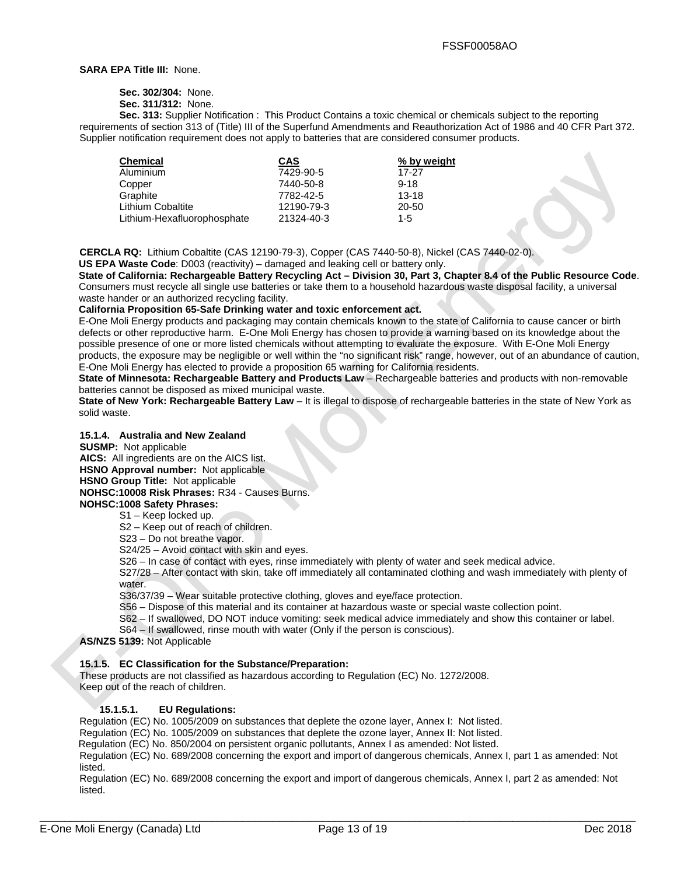#### **SARA EPA Title III:** None.

**Sec. 302/304:** None.

**Sec. 311/312:** None.

**Sec. 313:** Supplier Notification : This Product Contains a toxic chemical or chemicals subject to the reporting requirements of section 313 of (Title) III of the Superfund Amendments and Reauthorization Act of 1986 and 40 CFR Part 372. Supplier notification requirement does not apply to batteries that are considered consumer products.

| <b>CAS</b> | % by weight |
|------------|-------------|
| 7429-90-5  | 17-27       |
| 7440-50-8  | $9 - 18$    |
| 7782-42-5  | $13 - 18$   |
| 12190-79-3 | 20-50       |
| 21324-40-3 | $1 - 5$     |
|            |             |

**CERCLA RQ:** Lithium Cobaltite (CAS 12190-79-3), Copper (CAS 7440-50-8), Nickel (CAS 7440-02-0).

**US EPA Waste Code**: D003 (reactivity) – damaged and leaking cell or battery only.

**State of California: Rechargeable Battery Recycling Act – Division 30, Part 3, Chapter 8.4 of the Public Resource Code**. Consumers must recycle all single use batteries or take them to a household hazardous waste disposal facility, a universal waste hander or an authorized recycling facility.

## **California Proposition 65-Safe Drinking water and toxic enforcement act.**

E-One Moli Energy products and packaging may contain chemicals known to the state of California to cause cancer or birth defects or other reproductive harm. E-One Moli Energy has chosen to provide a warning based on its knowledge about the possible presence of one or more listed chemicals without attempting to evaluate the exposure. With E-One Moli Energy products, the exposure may be negligible or well within the "no significant risk" range, however, out of an abundance of caution, E-One Moli Energy has elected to provide a proposition 65 warning for California residents.

**State of Minnesota: Rechargeable Battery and Products Law** – Rechargeable batteries and products with non-removable batteries cannot be disposed as mixed municipal waste.

**State of New York: Rechargeable Battery Law** – It is illegal to dispose of rechargeable batteries in the state of New York as solid waste.

#### **15.1.4. Australia and New Zealand**

**SUSMP:** Not applicable

**AICS:** All ingredients are on the AICS list.

**HSNO Approval number:** Not applicable

**HSNO Group Title:** Not applicable

# **NOHSC:10008 Risk Phrases:** R34 - Causes Burns.

**NOHSC:1008 Safety Phrases:** 

S1 – Keep locked up.

S2 – Keep out of reach of children.

S23 – Do not breathe vapor.

S24/25 – Avoid contact with skin and eyes.

S26 – In case of contact with eyes, rinse immediately with plenty of water and seek medical advice.

S27/28 – After contact with skin, take off immediately all contaminated clothing and wash immediately with plenty of water.

S36/37/39 – Wear suitable protective clothing, gloves and eye/face protection.

S56 – Dispose of this material and its container at hazardous waste or special waste collection point.

S62 – If swallowed, DO NOT induce vomiting: seek medical advice immediately and show this container or label.

S64 – If swallowed, rinse mouth with water (Only if the person is conscious).

**AS/NZS 5139:** Not Applicable

#### **15.1.5. EC Classification for the Substance/Preparation:**

These products are not classified as hazardous according to Regulation (EC) No. 1272/2008. Keep out of the reach of children.

## **15.1.5.1. EU Regulations:**

Regulation (EC) No. 1005/2009 on substances that deplete the ozone layer, Annex I: Not listed.

Regulation (EC) No. 1005/2009 on substances that deplete the ozone layer, Annex II: Not listed.

Regulation (EC) No. 850/2004 on persistent organic pollutants, Annex I as amended: Not listed.

Regulation (EC) No. 689/2008 concerning the export and import of dangerous chemicals, Annex I, part 1 as amended: Not listed.

Regulation (EC) No. 689/2008 concerning the export and import of dangerous chemicals, Annex I, part 2 as amended: Not listed.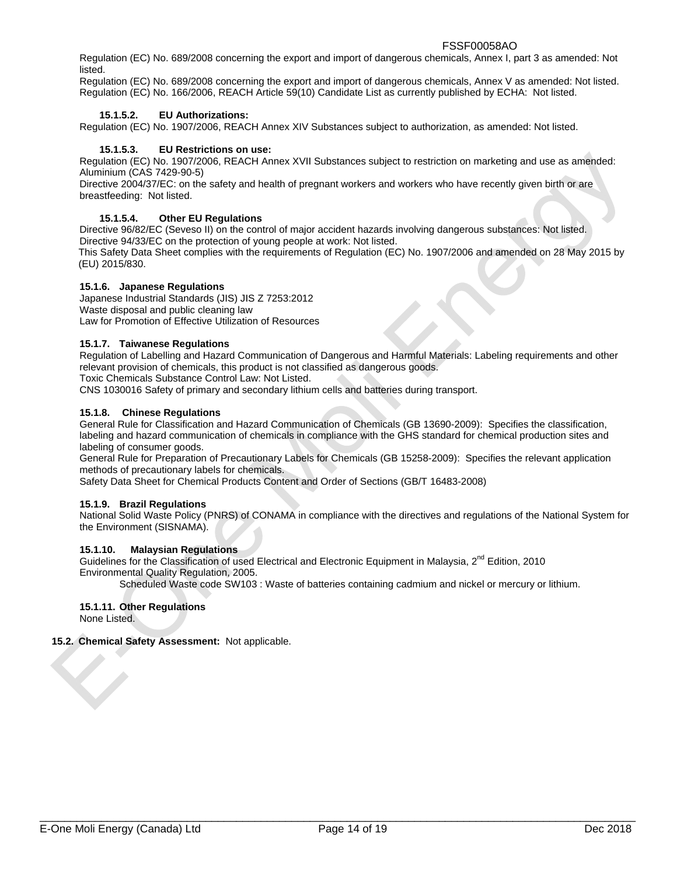Regulation (EC) No. 689/2008 concerning the export and import of dangerous chemicals, Annex I, part 3 as amended: Not listed.

Regulation (EC) No. 689/2008 concerning the export and import of dangerous chemicals, Annex V as amended: Not listed. Regulation (EC) No. 166/2006, REACH Article 59(10) Candidate List as currently published by ECHA: Not listed.

# **15.1.5.2. EU Authorizations:**

Regulation (EC) No. 1907/2006, REACH Annex XIV Substances subject to authorization, as amended: Not listed.

## **15.1.5.3. EU Restrictions on use:**

Regulation (EC) No. 1907/2006, REACH Annex XVII Substances subject to restriction on marketing and use as amended: Aluminium (CAS 7429-90-5)

Directive 2004/37/EC: on the safety and health of pregnant workers and workers who have recently given birth or are breastfeeding: Not listed.

# **15.1.5.4. Other EU Regulations**

Directive 96/82/EC (Seveso II) on the control of major accident hazards involving dangerous substances: Not listed. Directive 94/33/EC on the protection of young people at work: Not listed. This Safety Data Sheet complies with the requirements of Regulation (EC) No. 1907/2006 and amended on 28 May 2015 by (EU) 2015/830.

#### **15.1.6. Japanese Regulations**

Japanese Industrial Standards (JIS) JIS Z 7253:2012 Waste disposal and public cleaning law Law for Promotion of Effective Utilization of Resources

### **15.1.7. Taiwanese Regulations**

Regulation of Labelling and Hazard Communication of Dangerous and Harmful Materials: Labeling requirements and other relevant provision of chemicals, this product is not classified as dangerous goods.

Toxic Chemicals Substance Control Law: Not Listed.

CNS 1030016 Safety of primary and secondary lithium cells and batteries during transport.

#### **15.1.8. Chinese Regulations**

General Rule for Classification and Hazard Communication of Chemicals (GB 13690-2009): Specifies the classification, labeling and hazard communication of chemicals in compliance with the GHS standard for chemical production sites and labeling of consumer goods.

General Rule for Preparation of Precautionary Labels for Chemicals (GB 15258-2009): Specifies the relevant application methods of precautionary labels for chemicals.

Safety Data Sheet for Chemical Products Content and Order of Sections (GB/T 16483-2008)

#### **15.1.9. Brazil Regulations**

National Solid Waste Policy (PNRS) of CONAMA in compliance with the directives and regulations of the National System for the Environment (SISNAMA).

#### **15.1.10. Malaysian Regulations**

Guidelines for the Classification of used Electrical and Electronic Equipment in Malaysia, 2<sup>nd</sup> Edition, 2010 Environmental Quality Regulation, 2005.

Scheduled Waste code SW103 : Waste of batteries containing cadmium and nickel or mercury or lithium.

# **15.1.11. Other Regulations**

None Listed.

#### **15.2. Chemical Safety Assessment:** Not applicable.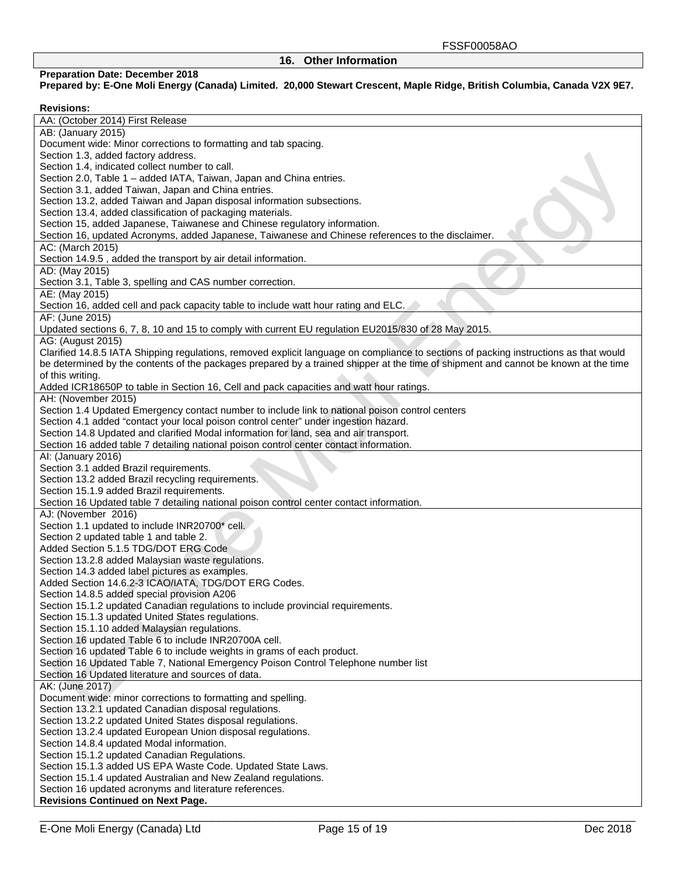# **16. Other Information**

# **Preparation Date: December 2018**

**Prepared by: E-One Moli Energy (Canada) Limited. 20,000 Stewart Crescent, Maple Ridge, British Columbia, Canada V2X 9E7.** 

# **Revisions:**

| AA: (October 2014) First Release                                                                                                      |
|---------------------------------------------------------------------------------------------------------------------------------------|
| AB: (January 2015)                                                                                                                    |
| Document wide: Minor corrections to formatting and tab spacing.                                                                       |
| Section 1.3, added factory address.                                                                                                   |
| Section 1.4, indicated collect number to call.                                                                                        |
| Section 2.0, Table 1 - added IATA, Taiwan, Japan and China entries.                                                                   |
| Section 3.1, added Taiwan, Japan and China entries.                                                                                   |
| Section 13.2, added Taiwan and Japan disposal information subsections.                                                                |
| Section 13.4, added classification of packaging materials.                                                                            |
| Section 15, added Japanese, Taiwanese and Chinese regulatory information.                                                             |
| Section 16, updated Acronyms, added Japanese, Taiwanese and Chinese references to the disclaimer.                                     |
| AC: (March 2015)                                                                                                                      |
| Section 14.9.5, added the transport by air detail information.                                                                        |
| AD: (May 2015)                                                                                                                        |
| Section 3.1, Table 3, spelling and CAS number correction.                                                                             |
| AE: (May 2015)                                                                                                                        |
| Section 16, added cell and pack capacity table to include watt hour rating and ELC.                                                   |
| AF: (June 2015)                                                                                                                       |
| Updated sections 6, 7, 8, 10 and 15 to comply with current EU regulation EU2015/830 of 28 May 2015.                                   |
| AG: (August 2015)                                                                                                                     |
| Clarified 14.8.5 IATA Shipping regulations, removed explicit language on compliance to sections of packing instructions as that would |
| be determined by the contents of the packages prepared by a trained shipper at the time of shipment and cannot be known at the time   |
| of this writing.                                                                                                                      |
| Added ICR18650P to table in Section 16, Cell and pack capacities and watt hour ratings.                                               |
| AH: (November 2015)                                                                                                                   |
| Section 1.4 Updated Emergency contact number to include link to national poison control centers                                       |
| Section 4.1 added "contact your local poison control center" under ingestion hazard.                                                  |
| Section 14.8 Updated and clarified Modal information for land, sea and air transport.                                                 |
| Section 16 added table 7 detailing national poison control center contact information.                                                |
| Al: (January 2016)                                                                                                                    |
| Section 3.1 added Brazil requirements.                                                                                                |
| Section 13.2 added Brazil recycling requirements.                                                                                     |
| Section 15.1.9 added Brazil requirements.                                                                                             |
| Section 16 Updated table 7 detailing national poison control center contact information.                                              |
| AJ: (November 2016)                                                                                                                   |
| Section 1.1 updated to include INR20700* cell.                                                                                        |
| Section 2 updated table 1 and table 2.<br>Added Section 5.1.5 TDG/DOT ERG Code                                                        |
|                                                                                                                                       |
| Section 13.2.8 added Malaysian waste regulations.                                                                                     |
| Section 14.3 added label pictures as examples.                                                                                        |
| Added Section 14.6.2-3 ICAO/IATA, TDG/DOT ERG Codes.                                                                                  |
| Section 14.8.5 added special provision A206                                                                                           |
| Section 15.1.2 updated Canadian regulations to include provincial requirements.<br>Section 15.1.3 updated United States regulations.  |
| Section 15.1.10 added Malaysian regulations.                                                                                          |
| Section 16 updated Table 6 to include INR20700A cell.                                                                                 |
| Section 16 updated Table 6 to include weights in grams of each product.                                                               |
| Section 16 Updated Table 7, National Emergency Poison Control Telephone number list                                                   |
| Section 16 Updated literature and sources of data.                                                                                    |
| AK: (June 2017)                                                                                                                       |
| Document wide: minor corrections to formatting and spelling.                                                                          |
| Section 13.2.1 updated Canadian disposal regulations.                                                                                 |
| Section 13.2.2 updated United States disposal regulations.                                                                            |
| Section 13.2.4 updated European Union disposal regulations.                                                                           |
| Section 14.8.4 updated Modal information.                                                                                             |
| Section 15.1.2 updated Canadian Regulations.                                                                                          |
| Section 15.1.3 added US EPA Waste Code. Updated State Laws.                                                                           |
| Section 15.1.4 updated Australian and New Zealand regulations.                                                                        |
| Section 16 updated acronyms and literature references.                                                                                |
| <b>Revisions Continued on Next Page.</b>                                                                                              |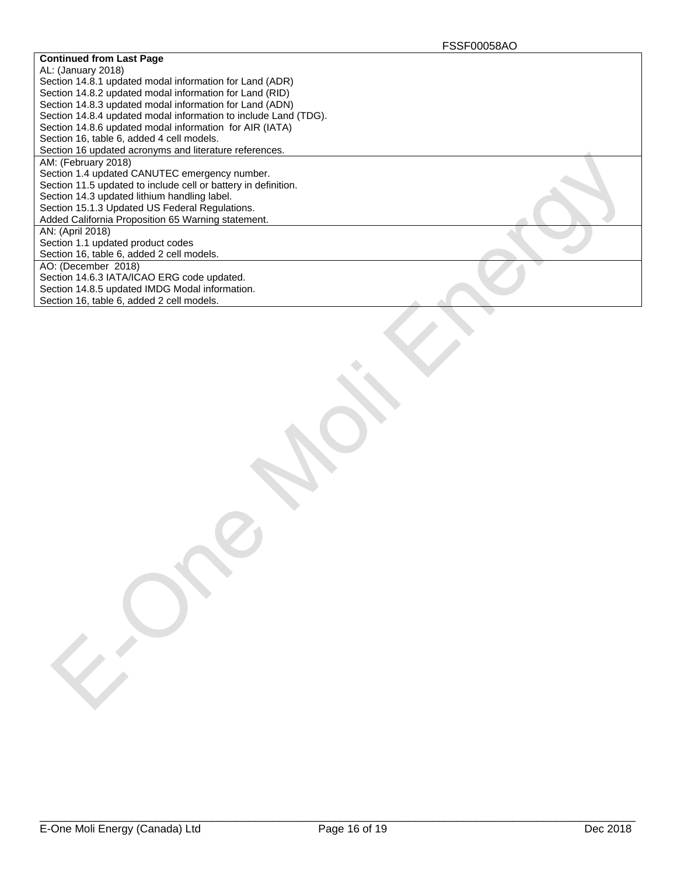| <b>Continued from Last Page</b>                                 |  |
|-----------------------------------------------------------------|--|
| AL: (January 2018)                                              |  |
| Section 14.8.1 updated modal information for Land (ADR)         |  |
| Section 14.8.2 updated modal information for Land (RID)         |  |
| Section 14.8.3 updated modal information for Land (ADN)         |  |
| Section 14.8.4 updated modal information to include Land (TDG). |  |
| Section 14.8.6 updated modal information for AIR (IATA)         |  |
| Section 16, table 6, added 4 cell models.                       |  |
| Section 16 updated acronyms and literature references.          |  |
| AM: (February 2018)                                             |  |
| Section 1.4 updated CANUTEC emergency number.                   |  |
| Section 11.5 updated to include cell or battery in definition.  |  |
| Section 14.3 updated lithium handling label.                    |  |
| Section 15.1.3 Updated US Federal Regulations.                  |  |
| Added California Proposition 65 Warning statement.              |  |
| AN: (April 2018)                                                |  |
| Section 1.1 updated product codes                               |  |
| Section 16, table 6, added 2 cell models.                       |  |
| AO: (December 2018)                                             |  |
| Section 14.6.3 IATA/ICAO ERG code updated.                      |  |
| Section 14.8.5 updated IMDG Modal information.                  |  |
| Section 16, table 6, added 2 cell models.                       |  |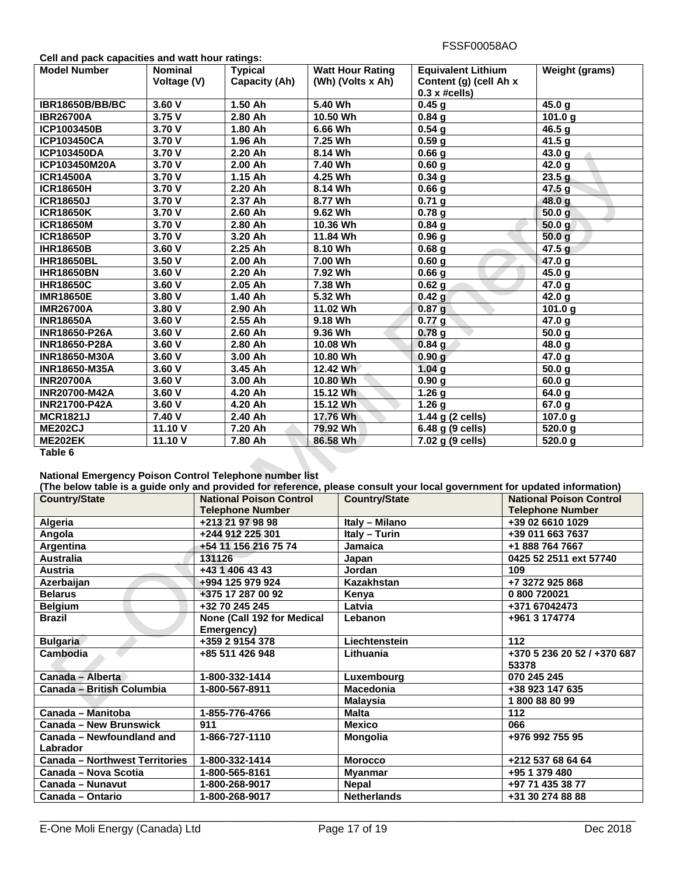| Cell and pack capacities and watt hour ratings: |  |
|-------------------------------------------------|--|
|-------------------------------------------------|--|

| <b>Model Number</b>    | <b>Nominal</b> | <b>Typical</b>       | <b>Watt Hour Rating</b> | <b>Equivalent Lithium</b>   | <b>Weight (grams)</b> |
|------------------------|----------------|----------------------|-------------------------|-----------------------------|-----------------------|
|                        | Voltage (V)    | <b>Capacity (Ah)</b> | (Wh) (Volts x Ah)       | Content (g) (cell Ah x      |                       |
|                        |                |                      |                         | $0.3 \times \text{\#cells}$ |                       |
| <b>IBR18650B/BB/BC</b> | 3.60V          | 1.50 Ah              | 5.40 Wh                 | 0.45 <sub>q</sub>           | 45.0 g                |
| <b>IBR26700A</b>       | 3.75V          | 2.80 Ah              | 10.50 Wh                | 0.84 <sub>g</sub>           | 101.0 $q$             |
| ICP1003450B            | 3.70 V         | $\overline{1.80}$ Ah | 6.66 Wh                 | 0.54 <sub>g</sub>           | 46.5 g                |
| <b>ICP103450CA</b>     | 3.70 V         | 1.96 Ah              | 7.25 Wh                 | 0.59 <sub>g</sub>           | 41.5 g                |
| <b>ICP103450DA</b>     | 3.70 V         | 2.20 Ah              | 8.14 Wh                 | 0.66 <sub>g</sub>           | 43.0 g                |
| ICP103450M20A          | 3.70 V         | 2.00 Ah              | 7.40 Wh                 | 0.60 <sub>g</sub>           | 42.0 g                |
| <b>ICR14500A</b>       | 3.70 V         | 1.15 Ah              | 4.25 Wh                 | $\overline{0.34}$ g         | 23.5 <sub>g</sub>     |
| <b>ICR18650H</b>       | 3.70 V         | 2.20 Ah              | 8.14 Wh                 | 0.66 <sub>g</sub>           | 47.5 <sub>g</sub>     |
| <b>ICR18650J</b>       | 3.70 V         | 2.37 Ah              | 8.77 Wh                 | 0.71 <sub>g</sub>           | 48.0 g                |
| <b>ICR18650K</b>       | 3.70 V         | 2.60 Ah              | 9.62 Wh                 | 0.78 <sub>g</sub>           | 50.0 <sub>g</sub>     |
| <b>ICR18650M</b>       | 3.70 V         | 2.80 Ah              | 10.36 Wh                | 0.84 <sub>g</sub>           | 50.0 <sub>g</sub>     |
| <b>ICR18650P</b>       | 3.70 V         | 3.20 Ah              | 11.84 Wh                | 0.96 <sub>g</sub>           | 50.0 <sub>g</sub>     |
| <b>IHR18650B</b>       | 3.60V          | 2.25 Ah              | 8.10 Wh                 | 0.68 <sub>g</sub>           | 47.5 <sub>g</sub>     |
| <b>IHR18650BL</b>      | 3.50 V         | 2.00 Ah              | 7.00 Wh                 | 0.60 <sub>g</sub>           | 47.0 g                |
| <b>IHR18650BN</b>      | 3.60 V         | 2.20 Ah              | 7.92 Wh                 | 0.66 <sub>g</sub>           | 45.0 g                |
| <b>IHR18650C</b>       | 3.60 V         | 2.05 Ah              | 7.38 Wh                 | 0.62 <sub>g</sub>           | 47.0 g                |
| <b>IMR18650E</b>       | 3.80V          | 1.40 Ah              | 5.32 Wh                 | 0.42 <sub>g</sub>           | 42.0 g                |
| <b>IMR26700A</b>       | 3.80 V         | 2.90 Ah              | 11.02 Wh                | 0.87 <sub>g</sub>           | 101.0 g               |
| <b>INR18650A</b>       | 3.60 V         | 2.55 Ah              | 9.18 Wh                 | 0.77 <sub>g</sub>           | 47.0 g                |
| <b>INR18650-P26A</b>   | 3.60 V         | 2.60 Ah              | 9.36 Wh                 | 0.78g                       | 50.0 <sub>g</sub>     |
| <b>INR18650-P28A</b>   | 3.60V          | 2.80 Ah              | 10.08 Wh                | 0.84 <sub>g</sub>           | 48.0 g                |
| <b>INR18650-M30A</b>   | 3.60V          | $3.00$ Ah            | 10.80 Wh                | 0.90 <sub>q</sub>           | 47.0 g                |
| <b>INR18650-M35A</b>   | 3.60 V         | 3.45 Ah              | 12.42 Wh                | 1.04 <sub>q</sub>           | 50.0 <sub>g</sub>     |
| <b>INR20700A</b>       | 3.60V          | 3.00 Ah              | 10.80 Wh                | 0.90 g                      | 60.0 g                |
| <b>INR20700-M42A</b>   | 3.60V          | 4.20 Ah              | 15.12 Wh                | 1.26 <sub>g</sub>           | 64.0 g                |
| <b>INR21700-P42A</b>   | 3.60V          | 4.20 Ah              | 15.12 Wh                | 1.26 <sub>g</sub>           | 67.0 g                |
| <b>MCR1821J</b>        | 7.40 V         | 2.40 Ah              | 17.76 Wh                | 1.44 g (2 cells)            | 107.0 g               |
| <b>ME202CJ</b>         | 11.10 V        | 7.20 Ah              | 79.92 Wh                | 6.48 g (9 cells)            | 520.0 g               |
| <b>ME202EK</b>         | 11.10 V        | 7.80 Ah              | 86.58 Wh                | 7.02 g (9 cells)            | 520.0 g               |
| Table 6                |                |                      |                         |                             |                       |

#### **National Emergency Poison Control Telephone number list**

| (The below table is a guide only and provided for reference, please consult your local government for updated information) |                                |                      |                                |
|----------------------------------------------------------------------------------------------------------------------------|--------------------------------|----------------------|--------------------------------|
| <b>Country/State</b>                                                                                                       | <b>National Poison Control</b> | <b>Country/State</b> | <b>National Poison Control</b> |
|                                                                                                                            | <b>Telephone Number</b>        |                      | <b>Telephone Number</b>        |
| Algeria                                                                                                                    | +213 21 97 98 98               | Italy - Milano       | +39 02 6610 1029               |
| Angola                                                                                                                     | +244 912 225 301               | Italy - Turin        | +39 011 663 7637               |
| Argentina                                                                                                                  | +54 11 156 216 75 74           | Jamaica              | +1 888 764 7667                |
| <b>Australia</b>                                                                                                           | 131126                         | Japan                | 0425 52 2511 ext 57740         |
| Austria                                                                                                                    | +43 1 406 43 43                | <b>Jordan</b>        | 109                            |
| Azerbaijan                                                                                                                 | +994 125 979 924               | Kazakhstan           | +7 3272 925 868                |
| <b>Belarus</b>                                                                                                             | +375 17 287 00 92              | Kenya                | 0 800 720021                   |
| <b>Belgium</b>                                                                                                             | +32 70 245 245                 | Latvia               | +371 67042473                  |
| <b>Brazil</b>                                                                                                              | None (Call 192 for Medical     | Lebanon              | +961 3 174774                  |
|                                                                                                                            | Emergency)                     |                      |                                |
| <b>Bulgaria</b>                                                                                                            | +359 2 9154 378                | Liechtenstein        | 112                            |
| <b>Cambodia</b>                                                                                                            | +85 511 426 948                | Lithuania            | +370 5 236 20 52 / +370 687    |
|                                                                                                                            |                                |                      | 53378                          |
| Canada - Alberta                                                                                                           | 1-800-332-1414                 | Luxembourg           | 070 245 245                    |
| Canada – British Columbia                                                                                                  | 1-800-567-8911                 | Macedonia            | +38 923 147 635                |
|                                                                                                                            |                                | <b>Malaysia</b>      | 1800888099                     |
| Canada - Manitoba                                                                                                          | 1-855-776-4766                 | <b>Malta</b>         | 112                            |
| Canada - New Brunswick                                                                                                     | 911                            | <b>Mexico</b>        | 066                            |
| Canada – Newfoundland and                                                                                                  | 1-866-727-1110                 | <b>Mongolia</b>      | +976 992 755 95                |
| Labrador                                                                                                                   |                                |                      |                                |
| <b>Canada - Northwest Territories</b>                                                                                      | 1-800-332-1414                 | <b>Morocco</b>       | +212 537 68 64 64              |
| Canada - Nova Scotia                                                                                                       | 1-800-565-8161                 | <b>Myanmar</b>       | +95 1 379 480                  |
| Canada - Nunavut                                                                                                           | 1-800-268-9017                 | <b>Nepal</b>         | +97 71 435 38 77               |
| Canada - Ontario                                                                                                           | 1-800-268-9017                 | <b>Netherlands</b>   | +31 30 274 88 88               |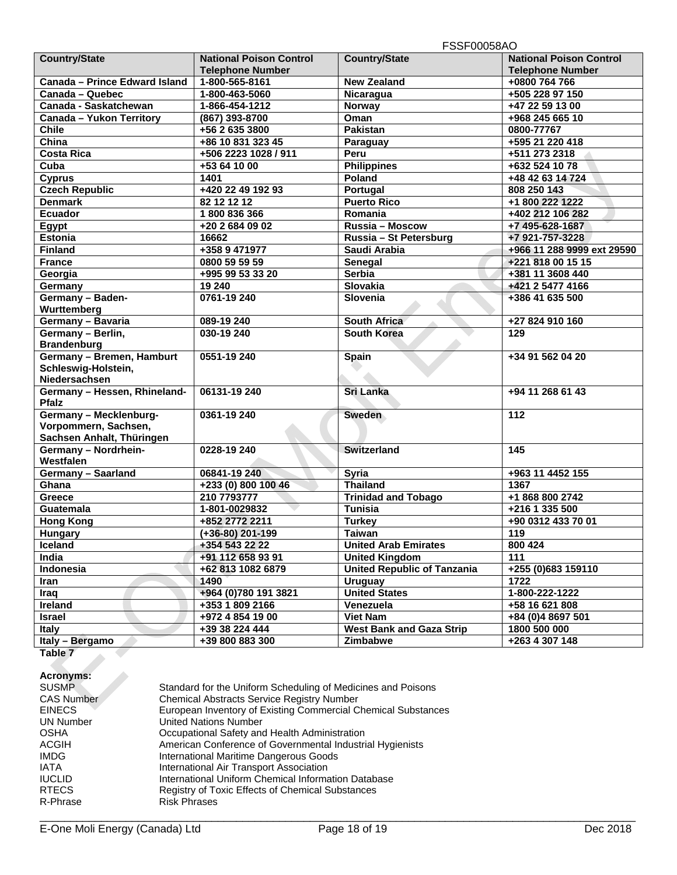|                               |                                | <b>FSSFUUUS8AU</b>                 |                                |
|-------------------------------|--------------------------------|------------------------------------|--------------------------------|
| <b>Country/State</b>          | <b>National Poison Control</b> | <b>Country/State</b>               | <b>National Poison Control</b> |
|                               | <b>Telephone Number</b>        |                                    | <b>Telephone Number</b>        |
| Canada - Prince Edward Island | 1-800-565-8161                 | <b>New Zealand</b>                 | +0800 764 766                  |
| Canada - Quebec               | 1-800-463-5060                 | Nicaragua                          | +505 228 97 150                |
| Canada - Saskatchewan         | 1-866-454-1212                 | Norway                             | +47 22 59 13 00                |
| Canada - Yukon Territory      | (867) 393-8700                 | Oman                               | +968 245 665 10                |
| <b>Chile</b>                  | +56 2 635 3800                 | <b>Pakistan</b>                    | 0800-77767                     |
| China                         | +86 10 831 323 45              | Paraguay                           | +595 21 220 418                |
| <b>Costa Rica</b>             | +506 2223 1028 / 911           | Peru                               | +511 273 2318                  |
| Cuba                          | +53 64 10 00                   | <b>Philippines</b>                 | +632 524 10 78                 |
| <b>Cyprus</b>                 | 1401                           | Poland                             | +48 42 63 14 724               |
| <b>Czech Republic</b>         | +420 22 49 192 93              | Portugal                           | 808 250 143                    |
| <b>Denmark</b>                | 82 12 12 12                    | <b>Puerto Rico</b>                 | +1 800 222 1222                |
| <b>Ecuador</b>                | 1800836366                     | Romania                            | +402 212 106 282               |
| Egypt                         | +20 2 684 09 02                | Russia - Moscow                    | +7 495-628-1687                |
| <b>Estonia</b>                | 16662                          | Russia - St Petersburg             | +7 921-757-3228                |
| <b>Finland</b>                | +358 9 471977                  | Saudi Arabia                       | +966 11 288 9999 ext 29590     |
| France                        | 0800 59 59 59                  | Senegal                            | +221 818 00 15 15              |
| Georgia                       | +995 99 53 33 20               | <b>Serbia</b>                      | +381 11 3608 440               |
| Germany                       | 19 240                         | Slovakia                           | +421 2 5477 4166               |
| Germany - Baden-              | 0761-19 240                    | Slovenia                           | +386 41 635 500                |
| Wurttemberg                   |                                |                                    |                                |
| Germany - Bavaria             | 089-19 240                     | <b>South Africa</b>                | +27 824 910 160                |
| Germany - Berlin,             | 030-19 240                     | <b>South Korea</b>                 | 129                            |
| <b>Brandenburg</b>            |                                |                                    |                                |
| Germany - Bremen, Hamburt     | 0551-19 240                    | <b>Spain</b>                       | +34 91 562 04 20               |
| Schleswig-Holstein,           |                                |                                    |                                |
| Niedersachsen                 |                                |                                    |                                |
| Germany - Hessen, Rhineland-  | 06131-19 240                   | <b>Sri Lanka</b>                   | +94 11 268 61 43               |
| <b>Pfalz</b>                  |                                |                                    |                                |
| Germany - Mecklenburg-        | 0361-19 240                    | Sweden                             | 112                            |
| Vorpommern, Sachsen,          |                                |                                    |                                |
| Sachsen Anhalt, Thüringen     |                                |                                    |                                |
| Germany - Nordrhein-          | 0228-19 240                    | <b>Switzerland</b>                 | 145                            |
| Westfalen                     |                                |                                    |                                |
| Germany - Saarland            | 06841-19 240                   | <b>Syria</b>                       | +963 11 4452 155               |
| Ghana                         | +233 (0) 800 100 46            | <b>Thailand</b>                    | 1367                           |
| <b>Greece</b>                 | 210 7793777                    | <b>Trinidad and Tobago</b>         | +1 868 800 2742                |
| Guatemala                     | 1-801-0029832                  | <b>Tunisia</b>                     | +216 1 335 500                 |
| <b>Hong Kong</b>              | +852 2772 2211                 | <b>Turkey</b>                      | +90 0312 433 70 01             |
| Hungary                       | $(+36-80)$ 201-199             | <b>Taiwan</b>                      | 119                            |
| <b>Iceland</b>                | +354 543 22 22                 | <b>United Arab Emirates</b>        | 800 424                        |
| India                         | +91 112 658 93 91              | <b>United Kingdom</b>              | 111                            |
| Indonesia                     | +62 813 1082 6879              | <b>United Republic of Tanzania</b> | +255 (0)683 159110             |
| Iran                          | 1490                           | <b>Uruguay</b>                     | 1722                           |
| Iraq                          | +964 (0) 780 191 3821          | <b>United States</b>               | 1-800-222-1222                 |
| Ireland                       | $\overline{+353}$ 1 809 2166   | Venezuela                          | +58 16 621 808                 |
| <b>Israel</b>                 | +972 4 854 19 00               | <b>Viet Nam</b>                    | +84 (0)4 8697 501              |
| <b>Italy</b>                  | +39 38 224 444                 | <b>West Bank and Gaza Strip</b>    | 1800 500 000                   |
| Italy - Bergamo               | +39 800 883 300                | Zimbabwe                           | +263 4 307 148                 |
|                               |                                |                                    |                                |

**Table 7** 

# **Acronyms:**

| <b>Acronyms:</b>  |                                                               |
|-------------------|---------------------------------------------------------------|
| <b>SUSMP</b>      | Standard for the Uniform Scheduling of Medicines and Poisons  |
| <b>CAS Number</b> | <b>Chemical Abstracts Service Registry Number</b>             |
| <b>EINECS</b>     | European Inventory of Existing Commercial Chemical Substances |
| <b>UN Number</b>  | <b>United Nations Number</b>                                  |
| <b>OSHA</b>       | Occupational Safety and Health Administration                 |
| <b>ACGIH</b>      | American Conference of Governmental Industrial Hygienists     |
| <b>IMDG</b>       | International Maritime Dangerous Goods                        |
| <b>IATA</b>       | International Air Transport Association                       |
| <b>IUCLID</b>     | International Uniform Chemical Information Database           |
| <b>RTECS</b>      | Registry of Toxic Effects of Chemical Substances              |
| R-Phrase          | <b>Risk Phrases</b>                                           |